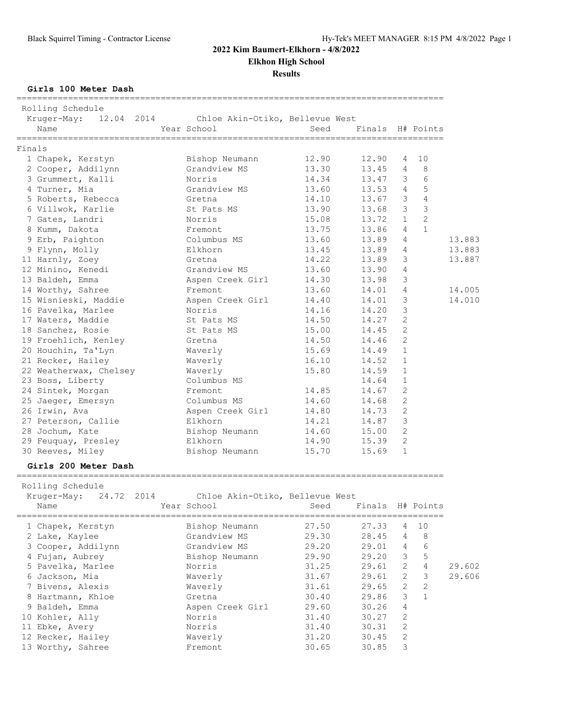**Elkhon High School**

**Results**

**Girls 100 Meter Dash**

| ------------------------------------<br>Rolling Schedule<br>Kruger-May: 12.04 2014 Chloe Akin-Otiko, Bellevue West<br>Name | Year School                       | Seed  | Finals H# Points |                         |                |        |
|----------------------------------------------------------------------------------------------------------------------------|-----------------------------------|-------|------------------|-------------------------|----------------|--------|
| Finals                                                                                                                     |                                   |       |                  |                         |                |        |
| 1 Chapek, Kerstyn                                                                                                          | Bishop Neumann                    | 12.90 | 12.90            |                         | 4 10           |        |
| 2 Cooper, Addilynn                                                                                                         | Grandview MS                      | 13.30 | 13.45 4          |                         | 8              |        |
| 3 Grummert, Kalli                                                                                                          | Norris                            | 14.34 | 13.47 3          |                         | 6              |        |
| 4 Turner, Mia                                                                                                              | Grandview MS                      | 13.60 | 13.53 4          |                         | 5              |        |
| 5 Roberts, Rebecca                                                                                                         | Gretna                            | 14.10 | 13.67 3          |                         | $\sqrt{4}$     |        |
| 6 Villwok, Karlie                                                                                                          | St Pats MS                        | 13.90 | 13.68 3          |                         | $\mathcal{S}$  |        |
| 7 Gates, Landri                                                                                                            | Norris                            | 15.08 | $13.72$ 1        |                         | $\overline{c}$ |        |
| 8 Kumm, Dakota                                                                                                             | Fremont                           | 13.75 | 13.86 4          |                         | $\mathbf{1}$   |        |
| 9 Erb, Paighton                                                                                                            | Columbus MS                       | 13.60 | 13.89            | 4                       |                | 13.883 |
| 9 Flynn, Molly                                                                                                             | Elkhorn                           | 13.45 | 13.89            | 4                       |                | 13.883 |
| 11 Harnly, Zoey                                                                                                            |                                   | 14.22 | 13.89            | 3                       |                | 13.887 |
| 12 Minino, Kenedi                                                                                                          | Gretna<br>Grandview MS            | 13.60 | 13.90 4          |                         |                |        |
| 13 Baldeh, Emma                                                                                                            | Aspen Creek Girl                  | 14.30 | 13.98            | $\overline{\mathbf{3}}$ |                |        |
| 14 Worthy, Sahree                                                                                                          | Fremont                           | 13.60 | 14.01 4          |                         |                | 14.005 |
| 15 Wisnieski, Maddie                                                                                                       | Aspen Creek Girl                  | 14.40 | 14.01            | 3                       |                | 14.010 |
| 16 Pavelka, Marlee                                                                                                         | Norris                            | 14.16 | 14.20            | $\mathbf{3}$            |                |        |
| 17 Waters, Maddie                                                                                                          | St Pats MS                        | 14.50 | 14.27            | 2                       |                |        |
| 18 Sanchez, Rosie                                                                                                          | St Pats MS                        | 15.00 | 14.45            | $\overline{2}$          |                |        |
| 19 Froehlich, Kenley                                                                                                       | Gretna                            | 14.50 | 14.46 2          |                         |                |        |
| 20 Houchin, Ta'Lyn                                                                                                         | Waverly                           | 15.69 | 14.49            | $\overline{1}$          |                |        |
| 21 Recker, Hailey                                                                                                          | Waverly                           | 16.10 | 14.52            | 1                       |                |        |
| 22 Weatherwax, Chelsey Maverly                                                                                             |                                   | 15.80 | 14.59            | $\overline{1}$          |                |        |
| 23 Boss, Liberty                                                                                                           | Columbus MS                       |       | 14.64 1          |                         |                |        |
| 24 Sintek, Morgan                                                                                                          | Fremont                           | 14.85 | 14.67            | $\overline{2}$          |                |        |
| 25 Jaeger, Emersyn                                                                                                         | Columbus MS                       | 14.60 | 14.68 2          |                         |                |        |
| 26 Irwin, Ava                                                                                                              | Aspen Creek Girl                  | 14.80 | 14.73 2          |                         |                |        |
| 27 Peterson, Callie                                                                                                        | Elkhorn                           | 14.21 | 14.87 3          |                         |                |        |
| 28 Jochum, Kate                                                                                                            |                                   | 14.60 | 15.00 2          |                         |                |        |
|                                                                                                                            | Bishop Neumann                    |       |                  | 2                       |                |        |
| 29 Feuquay, Presley                                                                                                        | Elkhorn                           | 14.90 | 15.39            | $\mathbf{1}$            |                |        |
| 30 Reeves, Miley                                                                                                           | Bishop Neumann                    | 15.70 | 15.69            |                         |                |        |
| Girls 200 Meter Dash                                                                                                       |                                   |       |                  |                         |                |        |
| Rolling Schedule<br>Kruger-May: 24.72 2014                                                                                 | Chloe Akin-Otiko, Bellevue West   |       |                  |                         |                |        |
| Name                                                                                                                       | Year School Seed Finals H# Points |       |                  |                         |                |        |
| 1 Chapek, Kerstyn                                                                                                          | Bishop Neumann                    | 27.50 | 27.33            | 4                       | 10             |        |
| 2 Lake, Kaylee                                                                                                             | Grandview MS                      | 29.30 | 28.45            | 4                       | 8              |        |
| 3 Cooper, Addilynn                                                                                                         | Grandview MS                      | 29.20 | 29.01            | 4                       | 6              |        |
| 4 Fujan, Aubrey                                                                                                            | Bishop Neumann                    | 29.90 | 29.20            | 3                       | 5              |        |
| 5 Pavelka, Marlee                                                                                                          | Norris                            | 31.25 | 29.61            | 2                       | $\sqrt{4}$     | 29.602 |
| 6 Jackson, Mia                                                                                                             | Waverly                           | 31.67 | 29.61            | 2                       | $\mathsf 3$    | 29.606 |
| 7 Bivens, Alexis                                                                                                           | Waverly                           | 31.61 | 29.65            | 2                       | $\sqrt{2}$     |        |
| 8 Hartmann, Khloe                                                                                                          | Gretna                            | 30.40 | 29.86            | 3                       | $\mathbf{1}$   |        |
| 9 Baldeh, Emma                                                                                                             | Aspen Creek Girl                  | 29.60 | 30.26            | 4                       |                |        |
|                                                                                                                            | Norris                            | 31.40 | 30.27            | $\mathbf{2}$            |                |        |
| 10 Kohler, Ally                                                                                                            |                                   |       |                  |                         |                |        |
| 11 Ebke, Avery                                                                                                             | Norris                            | 31.40 | 30.31            | $\mathbf{2}$            |                |        |
| 12 Recker, Hailey                                                                                                          | Waverly                           | 31.20 | 30.45            | 2                       |                |        |
| 13 Worthy, Sahree                                                                                                          | Fremont                           | 30.65 | 30.85            | 3                       |                |        |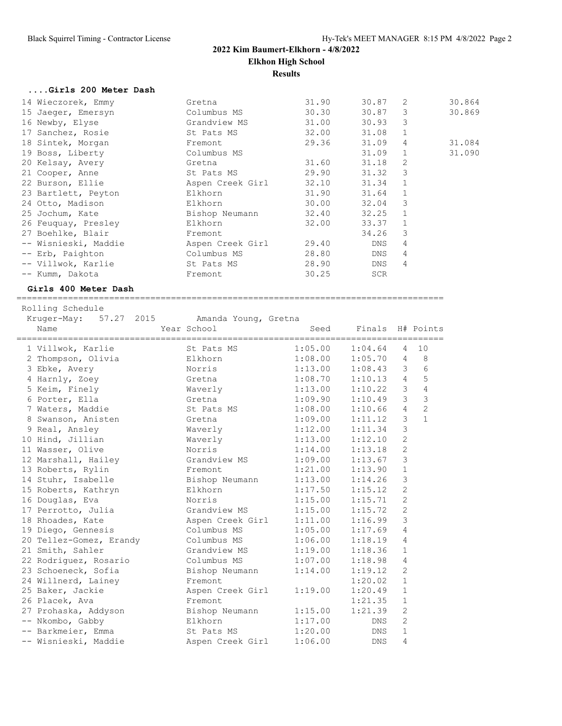# **2022 Kim Baumert-Elkhorn - 4/8/2022 Elkhon High School Results**

### **....Girls 200 Meter Dash**

| 14 Wieczorek, Emmy   | Gretna           | 31.90 | 30.87      | 2            | 30.864 |
|----------------------|------------------|-------|------------|--------------|--------|
| 15 Jaeger, Emersyn   | Columbus MS      | 30.30 | 30.87      | 3            | 30.869 |
| 16 Newby, Elyse      | Grandview MS     | 31.00 | 30.93      | 3            |        |
| 17 Sanchez, Rosie    | St Pats MS       | 32.00 | 31.08      | $\mathbf{1}$ |        |
| 18 Sintek, Morgan    | Fremont          | 29.36 | 31.09      | 4            | 31.084 |
| 19 Boss, Liberty     | Columbus MS      |       | 31.09      |              | 31.090 |
| 20 Kelsay, Avery     | Gretna           | 31.60 | 31.18      | 2            |        |
| 21 Cooper, Anne      | St Pats MS       | 29.90 | 31.32      | 3            |        |
| 22 Burson, Ellie     | Aspen Creek Girl | 32.10 | 31.34      | $\mathbf{1}$ |        |
| 23 Bartlett, Peyton  | Elkhorn          | 31.90 | 31.64      |              |        |
| 24 Otto, Madison     | Elkhorn          | 30.00 | 32.04      | 3            |        |
| 25 Jochum, Kate      | Bishop Neumann   | 32.40 | 32.25      |              |        |
| 26 Feuquay, Presley  | Elkhorn          | 32.00 | 33.37      |              |        |
| 27 Boehlke, Blair    | Fremont          |       | 34.26      | 3            |        |
| -- Wisnieski, Maddie | Aspen Creek Girl | 29.40 | DNS        | 4            |        |
| -- Erb, Paighton     | Columbus MS      | 28.80 | DNS        | 4            |        |
| -- Villwok, Karlie   | St Pats MS       | 28.90 | DNS        | 4            |        |
| -- Kumm, Dakota      | Fremont          | 30.25 | <b>SCR</b> |              |        |
|                      |                  |       |            |              |        |

### **Girls 400 Meter Dash**

=================================================================================== Rolling Schedule

Kruger-May: 57.27 2015 Amanda Young, Gretna

| Name                                                        | Year School                      | Seed                | Finals H# Points |                |                 |
|-------------------------------------------------------------|----------------------------------|---------------------|------------------|----------------|-----------------|
| 1 Villwok, Karlie 50 St Pats MS 1:05.00                     |                                  |                     | 1:04.64          | $\overline{4}$ | 10              |
| 2 Thompson, Olivia and Elkhorn                              |                                  | 1:08.00             | 1:05.70          | $\overline{4}$ | $_{\rm 8}$      |
| 3 Ebke, Avery                                               | Norris                           | 1:13.00             | 1:08.43          | 3              | $6\phantom{.}6$ |
| 4 Harnly, Zoey                                              | Gretna                           | $1:08.70$ $1:10.13$ |                  | $\overline{4}$ | 5               |
| 5 Keim, Finely                                              | Waverly                          | $1:13.00$ $1:10.22$ |                  | $\mathcal{S}$  | $\sqrt{4}$      |
| 6 Porter, Ella                                              | Gretna                           | 1:09.90 1:10.49     |                  | $\mathcal{E}$  | $\mathfrak{Z}$  |
| 7 Waters, Maddie                                            | St Pats MS 1:08.00               |                     | 1:10.66          | $\overline{4}$ | $\overline{c}$  |
| 8 Swanson, Anisten                                          | Gretna                           | 1:09.00             | 1:11.12          | 3              | $\mathbf{1}$    |
| 9 Real, Ansley                                              | Waverly                          | 1:12.00             | 1:11.34          | $\mathcal{S}$  |                 |
| 10 Hind, Jillian Maverly 1:13.00                            |                                  |                     | 1:12.10          | $\overline{c}$ |                 |
| 11 Wasser, Olive                                            | Norris                           | $1:14.00$ $1:13.18$ |                  | $\overline{c}$ |                 |
| 12 Marshall, Hailey                                         | Grandview MS 1:09.00             |                     | 1:13.67          | $\mathsf 3$    |                 |
| 13 Roberts, Rylin                                           | Fremont                          | 1:21.00             | 1:13.90          | $\mathbf{1}$   |                 |
| 14 Stuhr, Isabelle Bishop Neumann 1:13.00                   |                                  |                     | 1:14.26          | 3              |                 |
| 15 Roberts, Kathryn                                         | Elkhorn                          | 1:17.50             | 1:15.12          | $\mathbf{2}$   |                 |
| 16 Douglas, Eva                                             | Norris                           | 1:15.00             | 1:15.71          | $\overline{c}$ |                 |
| 17 Perrotto, Julia (Grandview MS 1:15.00 1:15.72)           |                                  |                     |                  | $\overline{c}$ |                 |
| 18 Rhoades, Kate                                            | Aspen Creek Girl 1:11.00 1:16.99 |                     |                  | 3              |                 |
| 19 Diego, Gennesis                                          | Columbus MS 1:05.00              |                     | 1:17.69          | $\overline{4}$ |                 |
| 20 Tellez-Gomez, Erandy Columbus MS 1:06.00                 |                                  |                     | 1:18.19          | 4              |                 |
| 21 Smith, Sahler                                            | Grandview MS 1:19.00             |                     | 1:18.36          | $\mathbf{1}$   |                 |
| 22 Rodriguez, Rosario         Columbus MS           1:07.00 |                                  |                     | 1:18.98          | 4              |                 |
| 23 Schoeneck, Sofia                                         | Bishop Neumann 1:14.00           |                     | 1:19.12          | $\mathbf{2}$   |                 |
| 24 Willnerd, Lainey                                         | Fremont                          |                     | 1:20.02          | $\mathbf{1}$   |                 |
| 25 Baker, Jackie                                            | Aspen Creek Girl 1:19.00         |                     | 1:20.49          | $\mathbf{1}$   |                 |
| 26 Placek, Ava                                              | Fremont                          |                     | 1:21.35          | $\mathbf{1}$   |                 |
| 27 Prohaska, Addyson Bishop Neumann 1:15.00                 |                                  |                     | 1:21.39          | 2              |                 |
| -- Nkombo, Gabby                                            | Elkhorn                          | 1:17.00             | DNS              | $\mathbf{2}$   |                 |
| -- Barkmeier, Emma St Pats MS 1:20.00                       |                                  |                     | DNS              | $\mathbf{1}$   |                 |
| -- Wisnieski, Maddie Maspen Creek Girl 1:06.00              |                                  |                     | <b>DNS</b>       | 4              |                 |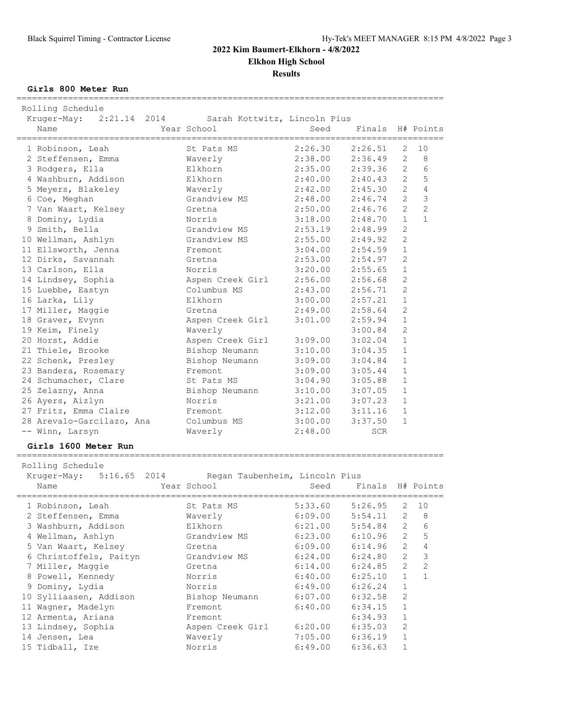|                                | 2022 Kim Baumert-Elkhorn - 4/8/2022 | <b>Elkhon High School</b><br><b>Results</b> |            |                       |                |
|--------------------------------|-------------------------------------|---------------------------------------------|------------|-----------------------|----------------|
| Girls 800 Meter Run            |                                     |                                             |            |                       |                |
| Rolling Schedule               |                                     |                                             |            |                       |                |
| Kruger-May: 2:21.14 2014       | Sarah Kottwitz, Lincoln Pius        |                                             |            |                       |                |
| Name                           | Year School                         | Seed                                        | Finals     |                       | H# Points      |
| 1 Robinson, Leah               | St Pats MS                          | 2:26.30                                     | 2:26.51    | 2                     | 10             |
| 2 Steffensen, Emma             | Waverly                             | $2:38.00$<br>$2:35.00$                      | 2:36.49    | 2                     | 8              |
| 3 Rodgers, Ella                | Elkhorn                             | 2:35.00                                     | 2:39.36    | $\overline{2}$        | 6              |
| 4 Washburn, Addison            | Elkhorn                             | 2:40.00                                     | 2:40.43    | $\overline{2}$        | 5              |
| 5 Meyers, Blakeley             | Waverly                             | 2:42.00                                     | 2:45.30    | 2                     | $\overline{4}$ |
| 6 Coe, Meghan                  | Grandview MS                        | 2:48.00                                     | 2:46.74    | $\overline{2}$        | $\mathcal{S}$  |
| 7 Van Waart, Kelsey            | Gretna                              | 2:50.00                                     | 2:46.76    | $\mathcal{L}$         | $\overline{2}$ |
| 8 Dominy, Lydia                | Norris                              | $3:18.00$<br>$2:53.19$                      | 2:48.70    | $\mathbf{1}$          | $\mathbf{1}$   |
| 9 Smith, Bella                 | Grandview MS                        |                                             | 2:48.99    | 2                     |                |
| 10 Wellman, Ashlyn             | Grandview MS                        | 2:55.00                                     | 2:49.92    | 2                     |                |
| 11 Ellsworth, Jenna            | Fremont                             | 3:04.00                                     | 2:54.59    | $\mathbf{1}$          |                |
| 12 Dirks, Savannah             | Gretna                              | 2:53.00                                     | 2:54.97    | 2                     |                |
| 13 Carlson, Ella               | Norris                              | 3:20.00                                     | 2:55.65    | $\mathbf{1}$          |                |
| 14 Lindsey, Sophia             | Aspen Creek Girl                    | 2:56.00                                     | 2:56.68    | $\overline{2}$        |                |
| 15 Luebbe, Eastyn              | Columbus MS                         | 2:43.00                                     | 2:56.71    | $\overline{c}$        |                |
| 16 Larka, Lily                 | Elkhorn                             | 3:00.00                                     | 2:57.21    | $\mathbf{1}$          |                |
| 17 Miller, Maggie              | Gretna                              | 2:49.00                                     | 2:58.64    | $\mathbf{2}$          |                |
| 18 Graver, Evynn               | Aspen Creek Girl                    | 3:01.00                                     | 2:59.94    | $\mathbf{1}$          |                |
| 19 Keim, Finely                | Waverly                             |                                             | 3:00.84    | $\mathfrak{D}$        |                |
| 20 Horst, Addie                | Aspen Creek Girl                    | $3:09.00$<br>$2:10.00$                      | 3:02.04    | $\mathbf{1}$          |                |
| 21 Thiele, Brooke              | Bishop Neumann                      | 3:10.00                                     | 3:04.35    | $\mathbf{1}$          |                |
| 22 Schenk, Presley             | Bishop Neumann                      | 3:09.00                                     | 3:04.84    | 1                     |                |
| 23 Bandera, Rosemary           | Fremont                             | 3:09.00                                     | 3:05.44    | $\mathbf{1}$          |                |
| 24 Schumacher, Clare           | St Pats MS                          | 3:04.90                                     | 3:05.88    | $\mathbf{1}$          |                |
| 25 Zelazny, Anna               | Bishop Neumann                      | 3:10.00                                     | 3:07.05    | $\mathbf{1}$          |                |
| 26 Ayers, Aizlyn               | Norris                              | 3:21.00                                     | 3:07.23    | $\mathbf{1}$          |                |
| 27 Fritz, Emma Claire          | Fremont                             | 3:12.00                                     | 3:11.16    | $\mathbf{1}$          |                |
| 28 Arevalo-Garcilazo, Ana      | Columbus MS                         | 3:00.00                                     | 3:37.50    | $\mathbf{1}$          |                |
| -- Winn, Larsyn                | Waverly                             | 2:48.00                                     | <b>SCR</b> |                       |                |
| Girls 1600 Meter Run           |                                     |                                             |            |                       |                |
| Rolling Schedule               |                                     |                                             |            |                       |                |
| Kruger-May:<br>5:16.65<br>2014 | Regan Taubenheim, Lincoln Pius      |                                             |            |                       |                |
| Name                           | Year School                         | Seed                                        | Finals     |                       | H# Points      |
| 1 Robinson, Leah               | ==============<br>St Pats MS        | 5:33.60                                     | 5:26.95    | 2                     | 10             |
| 2 Steffensen, Emma             | Waverly                             | 6:09.00                                     | 5:54.11    | 2                     | 8              |
| 3 Washburn, Addison            | Elkhorn                             | 6:21.00                                     | 5:54.84    | 2                     | 6              |
| 4 Wellman, Ashlyn              | Grandview MS                        | 6:23.00                                     | 6:10.96    | 2                     | 5              |
| 5 Van Waart, Kelsey            | Gretna                              | 6:09.00                                     | 6:14.96    | $\mathbf{2}^{\prime}$ | 4              |
| 6 Christoffels, Paityn         | Grandview MS                        | 6:24.00                                     | 6:24.80    | $\overline{2}$        | 3              |
| 7 Miller, Maggie               | Gretna                              | 6:14.00                                     | 6:24.85    | 2                     | $\sqrt{2}$     |
| 8 Powell, Kennedy              | Norris                              | 6:40.00                                     | 6:25.10    | $\mathbf 1$           | $\mathbf{1}$   |
|                                |                                     |                                             |            |                       |                |

 9 Dominy, Lydia Norris 6:49.00 6:26.24 1 10 Sylliaasen, Addison Bishop Neumann 6:07.00 6:32.58 2 11 Wagner, Madelyn Fremont 6:40.00 6:34.15 1 12 Armenta, Ariana **Fremont** 6:34.93 1 13 Lindsey, Sophia Aspen Creek Girl 6:20.00 6:35.03 2 14 Jensen, Lea Waverly 7:05.00 6:36.19 1 15 Tidball, Ize Norris 6:49.00 6:36.63 1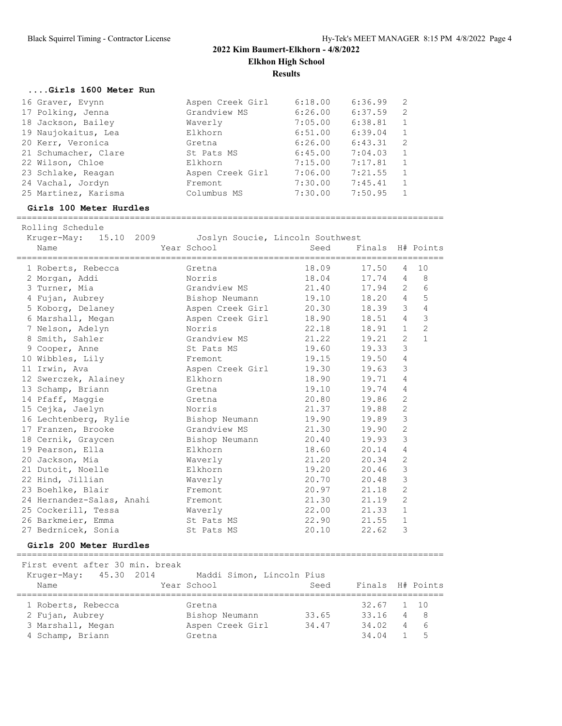# **2022 Kim Baumert-Elkhorn - 4/8/2022 Elkhon High School Results**

### **....Girls 1600 Meter Run**

| 16 Graver, Evynn     | Aspen Creek Girl | 6:18.00 | 6:36.99 | -2             |
|----------------------|------------------|---------|---------|----------------|
| 17 Polking, Jenna    | Grandview MS     | 6:26.00 | 6:37.59 | 2              |
| 18 Jackson, Bailey   | Waverly          | 7:05.00 | 6:38.81 |                |
| 19 Naujokaitus, Lea  | Elkhorn          | 6:51.00 | 6:39.04 | $\overline{1}$ |
| 20 Kerr, Veronica    | Gretna           | 6:26.00 | 6:43.31 | - 2            |
| 21 Schumacher, Clare | St Pats MS       | 6:45.00 | 7:04.03 |                |
| 22 Wilson, Chloe     | Elkhorn          | 7:15.00 | 7:17.81 |                |
| 23 Schlake, Reagan   | Aspen Creek Girl | 7:06.00 | 7:21.55 |                |
| 24 Vachal, Jordyn    | Fremont          | 7:30.00 | 7:45.41 |                |
| 25 Martinez, Karisma | Columbus MS      | 7:30.00 | 7:50.95 |                |

#### **Girls 100 Meter Hurdles**

===================================================================================

| Rolling Schedule               |                                                 |       |                  |                |                |
|--------------------------------|-------------------------------------------------|-------|------------------|----------------|----------------|
| Kruger-May: 15.10 2009<br>Name | Joslyn Soucie, Lincoln Southwest<br>Year School | Seed  | Finals H# Points |                |                |
|                                |                                                 |       |                  |                |                |
| 1 Roberts, Rebecca             | Gretna                                          | 18.09 | 17.50            | $\overline{4}$ | 10             |
| 2 Morgan, Addi                 | Norris                                          | 18.04 | 17.74            | $\overline{4}$ | 8              |
| 3 Turner, Mia                  | Grandview MS                                    | 21.40 | 17.94            | 2              | $\epsilon$     |
| 4 Fujan, Aubrey                | Bishop Neumann                                  | 19.10 | 18.20            | $\overline{4}$ | 5              |
| 5 Koborg, Delaney              | Aspen Creek Girl                                | 20.30 | 18.39            | 3              | 4              |
| 6 Marshall, Megan              | Aspen Creek Girl                                | 18.90 | 18.51            | $\overline{4}$ | $\mathfrak{Z}$ |
| 7 Nelson, Adelyn               | Norris                                          | 22.18 | 18.91            | $\mathbf{1}$   | $\overline{c}$ |
| 8 Smith, Sahler                | Grandview MS                                    | 21.22 | 19.21            | $\overline{2}$ | $\mathbf{1}$   |
| 9 Cooper, Anne                 | St Pats MS                                      | 19.60 | 19.33            | 3              |                |
| 10 Wibbles, Lily               | Fremont                                         | 19.15 | 19.50            | 4              |                |
| 11 Irwin, Ava                  | Aspen Creek Girl                                | 19.30 | 19.63            | 3              |                |
| 12 Swerczek, Alainey           | Elkhorn                                         | 18.90 | 19.71            | $\overline{4}$ |                |
| 13 Schamp, Briann              | Gretna                                          | 19.10 | 19.74            | $\overline{4}$ |                |
| 14 Pfaff, Maggie               | Gretna                                          | 20.80 | 19.86            | $\overline{2}$ |                |
| 15 Cejka, Jaelyn               | Norris                                          | 21.37 | 19.88            | $\overline{c}$ |                |
| 16 Lechtenberg, Rylie          | Bishop Neumann                                  | 19.90 | 19.89            | 3              |                |
| 17 Franzen, Brooke             | Grandview MS                                    | 21.30 | 19.90            | $\overline{c}$ |                |
| 18 Cernik, Graycen             | Bishop Neumann                                  | 20.40 | 19.93            | 3              |                |
| 19 Pearson, Ella               | Elkhorn                                         | 18.60 | 20.14            | $\overline{4}$ |                |
| 20 Jackson, Mia                | Waverly                                         | 21.20 | 20.34            | $\mathbf{2}$   |                |
| 21 Dutoit, Noelle              | Elkhorn                                         | 19.20 | 20.46            | 3              |                |
| 22 Hind, Jillian               | Waverly                                         | 20.70 | 20.48            | 3              |                |
| 23 Boehlke, Blair              | Fremont                                         | 20.97 | 21.18            | $\mathbf{2}$   |                |
| 24 Hernandez-Salas, Anahi      | Fremont                                         | 21.30 | 21.19            | $\overline{2}$ |                |
| 25 Cockerill, Tessa            | Waverly                                         | 22.00 | 21.33            | $\mathbf{1}$   |                |
| 26 Barkmeier, Emma             | St Pats MS                                      | 22.90 | 21.55            | $\mathbf{1}$   |                |
| 27 Bedrnicek, Sonia            | St Pats MS                                      | 20.10 | 22.62            | 3              |                |

### **Girls 200 Meter Hurdles**

===================================================================================

First event after 30 min. break

| Kruger-May: 45.30 2014<br>Name |  | Year School      | Maddi Simon, Lincoln Pius | Seed  |              | Finals H# Points |
|--------------------------------|--|------------------|---------------------------|-------|--------------|------------------|
| 1 Roberts, Rebecca             |  | Gretna           |                           |       | $32.67$ 1 10 |                  |
| 2 Fujan, Aubrey                |  | Bishop Neumann   |                           | 33.65 | 33.16        | 48               |
| 3 Marshall, Megan              |  | Aspen Creek Girl |                           | 34.47 | 34.02        | $4\overline{6}$  |
| 4 Schamp, Briann               |  | Gretna           |                           |       | 34.04        | -5               |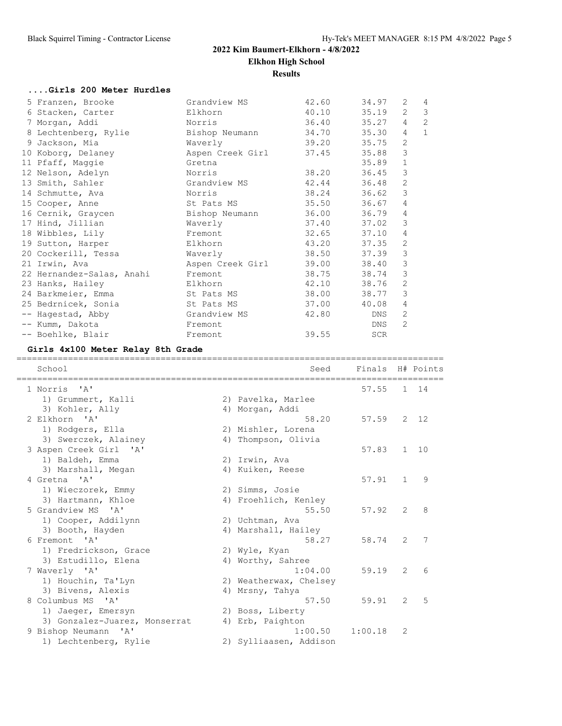# **2022 Kim Baumert-Elkhorn - 4/8/2022 Elkhon High School Results**

# **....Girls 200 Meter Hurdles**

| 5 Franzen, Brooke                   Grandview MS |                              | 42.60       | 34.97 | 2                    | $\overline{4}$ |
|--------------------------------------------------|------------------------------|-------------|-------|----------------------|----------------|
| 6 Stacken, Carter                                | Elkhorn                      | 40.10 35.19 |       | $\mathbf{2}^{\circ}$ | 3              |
| 7 Morgan, Addi                                   | Norris                       | 36.40 35.27 |       | $\overline{4}$       | $\overline{c}$ |
| 8 Lechtenberg, Rylie                             | Bishop Neumann               | 34.70 35.30 |       | $\overline{4}$       | $\mathbf{1}$   |
| 9 Jackson, Mia                                   | Waverly                      | 39.20 35.75 |       | 2                    |                |
| 10 Koborg, Delaney                               | Aspen Creek Girl 37.45 35.88 |             |       | 3                    |                |
| 11 Pfaff, Maggie                                 | Gretna                       |             | 35.89 | $\mathbf{1}$         |                |
| 12 Nelson, Adelyn                                | Norris                       | 38.20 36.45 |       | 3                    |                |
| 13 Smith, Sahler                                 | Grandview MS                 | 42.44 36.48 |       | 2                    |                |
| 14 Schmutte, Ava                                 | Norris                       | 38.24 36.62 |       | 3                    |                |
| 15 Cooper, Anne                                  | St Pats MS                   | 35.50 36.67 |       | $\overline{4}$       |                |
| 16 Cernik, Graycen                               | Bishop Neumann               | 36.00 36.79 |       | 4                    |                |
| 17 Hind, Jillian                                 | Waverly                      | 37.40 37.02 |       | 3                    |                |
| 18 Wibbles, Lily                                 | Fremont                      | 32.65 37.10 |       | 4                    |                |
| 19 Sutton, Harper                                | Elkhorn                      | 43.20 37.35 |       | 2                    |                |
| 20 Cockerill, Tessa Maverly                      |                              | 38.50 37.39 |       | 3                    |                |
| 21 Irwin, Ava                                    | Aspen Creek Girl             | 39.00 38.40 |       | $\mathsf 3$          |                |
| 22 Hernandez-Salas, Anahi Fremont                |                              | 38.75 38.74 |       | 3                    |                |
| 23 Hanks, Hailey                                 | Elkhorn                      | 42.10 38.76 |       | 2                    |                |
| 24 Barkmeier, Emma St Pats MS                    |                              | 38.00 38.77 |       | 3                    |                |
| 25 Bedrnicek, Sonia                              | St Pats MS                   | 37.00       | 40.08 | 4                    |                |
| -- Hagestad, Abby                                | Grandview MS                 | 42.80       | DNS   | 2                    |                |
| -- Kumm, Dakota                                  | Fremont                      |             | DNS   | $\overline{2}$       |                |
| -- Boehlke, Blair                                | Fremont                      | 39.55       | SCR   |                      |                |

# **Girls 4x100 Meter Relay 8th Grade**

| School                                | Seed<br>================================ | Finals H# Points |                |    |
|---------------------------------------|------------------------------------------|------------------|----------------|----|
| 1 Norris<br>$^{\prime}$ A $^{\prime}$ |                                          | 57.55            | $\mathbf{1}$   | 14 |
| 1) Grummert, Kalli                    | 2) Pavelka, Marlee                       |                  |                |    |
| 3) Kohler, Ally                       | 4) Morgan, Addi                          |                  |                |    |
| 2 Elkhorn 'A'                         | 58.20                                    | 57.59            | 2              | 12 |
| 1) Rodgers, Ella                      | 2) Mishler, Lorena                       |                  |                |    |
| 3) Swerczek, Alainey                  | 4) Thompson, Olivia                      |                  |                |    |
| 3 Aspen Creek Girl 'A'                |                                          | 57.83            | $\mathbf{1}$   | 10 |
| 1) Baldeh, Emma                       | 2) Irwin, Ava                            |                  |                |    |
| 3) Marshall, Megan                    | 4) Kuiken, Reese                         |                  |                |    |
| 4 Gretna 'A'                          |                                          | 57.91            | $\mathbf{1}$   | 9  |
| 1) Wieczorek, Emmy                    | 2) Simms, Josie                          |                  |                |    |
| 3) Hartmann, Khloe                    | 4) Froehlich, Kenley                     |                  |                |    |
| 5 Grandview MS 'A'                    | 55.50                                    | 57.92            | $\mathcal{L}$  | 8  |
| 1) Cooper, Addilynn                   | 2) Uchtman, Ava                          |                  |                |    |
| 3) Booth, Hayden                      | 4) Marshall, Hailey                      |                  |                |    |
| 6 Fremont. 'A'                        | 58.27                                    | 58.74            | $\mathcal{L}$  | 7  |
| 1) Fredrickson, Grace                 | 2) Wyle, Kyan                            |                  |                |    |
| 3) Estudillo, Elena                   | 4) Worthy, Sahree                        |                  |                |    |
| 7 Waverly 'A'                         | 1:04.00                                  | 59.19            | $\overline{2}$ | 6  |
| 1) Houchin, Ta'Lyn                    | 2) Weatherwax, Chelsey                   |                  |                |    |
| 3) Bivens, Alexis                     | 4) Mrsny, Tahya                          |                  |                |    |
| 8 Columbus MS 'A'                     | 57.50                                    | 59.91            | 2              | 5  |
| 1) Jaeger, Emersyn                    | 2) Boss, Liberty                         |                  |                |    |
| 3) Gonzalez-Juarez, Monserrat         | 4) Erb, Paighton                         |                  |                |    |
| 9 Bishop Neumann 'A'                  | 1:00.50                                  | 1:00.18          | 2              |    |
| 1) Lechtenberg, Rylie                 | 2) Sylliaasen, Addison                   |                  |                |    |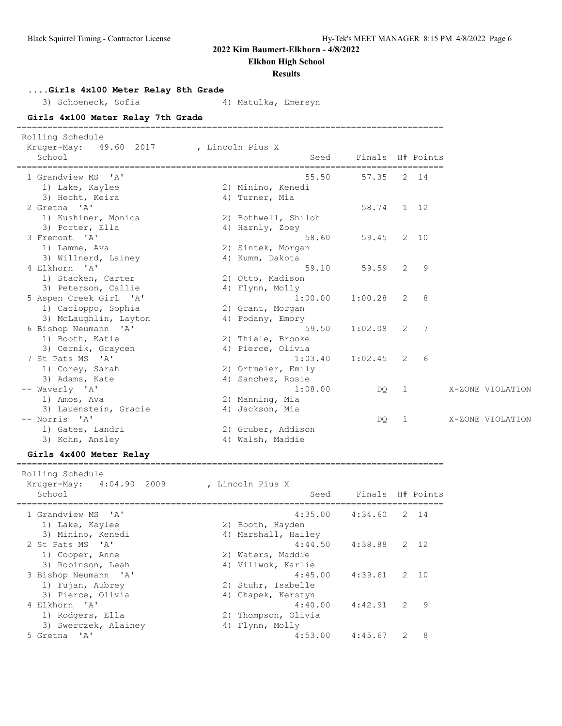**Elkhon High School**

### **Results**

**....Girls 4x100 Meter Relay 8th Grade**

3) Schoeneck, Sofia (4) Matulka, Emersyn

**Girls 4x100 Meter Relay 7th Grade** ===================================================================================

| Rolling Schedule<br>Kruger-May:<br>49.60 2017 | , Lincoln Pius X |                     |                  |                |              |                  |
|-----------------------------------------------|------------------|---------------------|------------------|----------------|--------------|------------------|
| School                                        |                  | Seed                | Finals H# Points |                |              |                  |
| 1 Grandview MS 'A'                            |                  | 55.50               | 57.35            |                | 2 14         |                  |
| 1) Lake, Kaylee                               |                  | 2) Minino, Kenedi   |                  |                |              |                  |
| 3) Hecht, Keira                               |                  | 4) Turner, Mia      |                  |                |              |                  |
| 2 Gretna 'A'                                  |                  |                     | 58.74            |                | $1 \quad 12$ |                  |
| 1) Kushiner, Monica                           |                  | 2) Bothwell, Shiloh |                  |                |              |                  |
| 3) Porter, Ella                               |                  | 4) Harnly, Zoey     |                  |                |              |                  |
| 3 Fremont 'A'                                 |                  | 58.60               | 59.45            |                | 2 10         |                  |
| 1) Lamme, Ava                                 |                  | 2) Sintek, Morgan   |                  |                |              |                  |
| 3) Willnerd, Lainey                           |                  | 4) Kumm, Dakota     |                  |                |              |                  |
| 4 Elkhorn 'A'                                 |                  | 59.10               | 59.59            | 2              | 9            |                  |
| 1) Stacken, Carter                            |                  | 2) Otto, Madison    |                  |                |              |                  |
| 3) Peterson, Callie                           |                  | 4) Flynn, Molly     |                  |                |              |                  |
| 5 Aspen Creek Girl 'A'                        |                  | 1:00.00             | 1:00.28          | 2              | 8            |                  |
| 1) Cacioppo, Sophia                           |                  | 2) Grant, Morgan    |                  |                |              |                  |
| 3) McLaughlin, Layton                         |                  | 4) Podany, Emory    |                  |                |              |                  |
| 6 Bishop Neumann 'A'                          |                  | 59.50               | 1:02.08          | 2              | 7            |                  |
| 1) Booth, Katie                               |                  | 2) Thiele, Brooke   |                  |                |              |                  |
| 3) Cernik, Graycen                            |                  | 4) Pierce, Olivia   |                  |                |              |                  |
| 7 St Pats MS 'A'                              |                  | 1:03.40             | 1:02.45          | 2              | 6            |                  |
| 1) Corey, Sarah                               |                  | 2) Ortmeier, Emily  |                  |                |              |                  |
| 3) Adams, Kate                                |                  | 4) Sanchez, Rosie   |                  |                |              |                  |
| -- Waverly 'A'                                |                  | 1:08.00             | DO.              | $\overline{1}$ |              | X-ZONE VIOLATION |
| 1) Amos, Ava                                  |                  | 2) Manning, Mia     |                  |                |              |                  |
| 3) Lauenstein, Gracie                         |                  | 4) Jackson, Mia     |                  |                |              |                  |
| -- Norris 'A'                                 |                  |                     | DQ.              | 1              |              | X-ZONE VIOLATION |
| 1) Gates, Landri                              |                  | 2) Gruber, Addison  |                  |                |              |                  |
| 3) Kohn, Ansley                               |                  | 4) Walsh, Maddie    |                  |                |              |                  |
|                                               |                  |                     |                  |                |              |                  |

### **Girls 4x400 Meter Relay**

===================================================================================

| Rolling Schedule<br>Kruger-May: 4:04.90 2009<br>School | , Lincoln Pius X<br>Seed | Finals H# Points |               |      |
|--------------------------------------------------------|--------------------------|------------------|---------------|------|
| 1 Grandview MS 'A'                                     | 4:35.00                  | 4:34.60          |               | 2 14 |
| 1) Lake, Kaylee                                        | 2) Booth, Hayden         |                  |               |      |
| 3) Minino, Kenedi                                      | 4) Marshall, Hailey      |                  |               |      |
| 2 St Pats MS 'A'                                       | 4:44.50                  | 4:38.88          |               | 2 12 |
| 1) Cooper, Anne                                        | 2) Waters, Maddie        |                  |               |      |
| 3) Robinson, Leah                                      | 4) Villwok, Karlie       |                  |               |      |
| 3 Bishop Neumann 'A'                                   | 4:45.00                  | 4:39.61          | $\mathcal{L}$ | 10   |
| 1) Fujan, Aubrey                                       | 2) Stuhr, Isabelle       |                  |               |      |
| 3) Pierce, Olivia                                      | 4) Chapek, Kerstyn       |                  |               |      |
| 4 Elkhorn 'A'                                          | 4:40.00                  | 4:42.91          | $\mathcal{L}$ | 9    |
| 1) Rodgers, Ella                                       | 2) Thompson, Olivia      |                  |               |      |
| 3) Swerczek, Alainey                                   | 4) Flynn, Molly          |                  |               |      |
| 5 Gretna 'A'                                           | 4:53.00                  | 4:45.67          |               | 8    |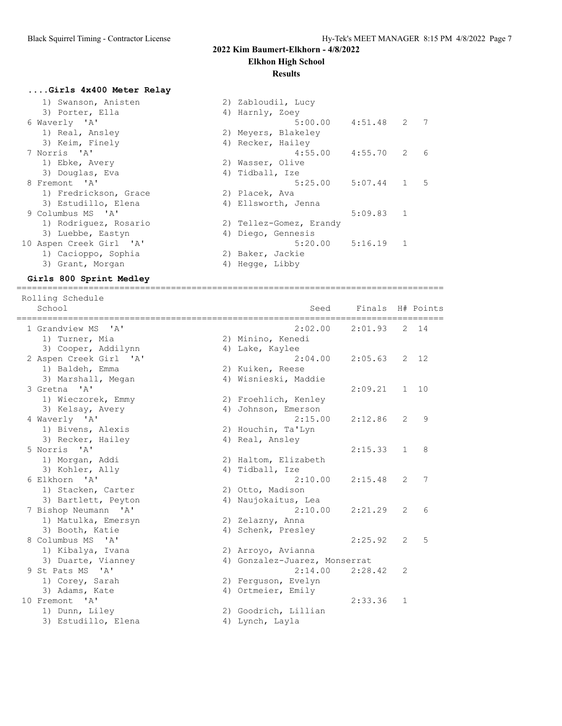# **Elkhon High School**

### **Results**

# **....Girls 4x400 Meter Relay**

|                   | 1) Swanson, Anisten     | 2) Zabloudil, Lucy |                         |         |                        |    |
|-------------------|-------------------------|--------------------|-------------------------|---------|------------------------|----|
|                   | 3) Porter, Ella         | 4) Harnly, Zoey    |                         |         |                        |    |
| 6 Waverly 'A'     |                         |                    | $5:00.00$ $4:51.48$ 2 7 |         |                        |    |
|                   | 1) Real, Ansley         |                    | 2) Meyers, Blakeley     |         |                        |    |
|                   | 3) Keim, Finely         | 4) Recker, Hailey  |                         |         |                        |    |
| 7 Norris 'A'      |                         |                    | 4:55.00  4:55.70  2  6  |         |                        |    |
| 1) Ebke, Avery    |                         | 2) Wasser, Olive   |                         |         |                        |    |
|                   | 3) Douglas, Eva         | 4) Tidball, Ize    |                         |         |                        |    |
| 8 Fremont 'A'     |                         |                    | 5:25.00                 | 5:07.44 | $1 \quad \blacksquare$ | -5 |
|                   | 1) Fredrickson, Grace   | 2) Placek, Ava     |                         |         |                        |    |
|                   | 3) Estudillo, Elena     |                    | 4) Ellsworth, Jenna     |         |                        |    |
| 9 Columbus MS 'A' |                         |                    |                         | 5:09.83 | -1                     |    |
|                   | 1) Rodriquez, Rosario   |                    | 2) Tellez-Gomez, Erandy |         |                        |    |
|                   | 3) Luebbe, Eastyn       | 4) Diego, Gennesis |                         |         |                        |    |
|                   | 10 Aspen Creek Girl 'A' |                    | 5:20.00                 | 5:16.19 | -1                     |    |
|                   | 1) Cacioppo, Sophia     | 2) Baker, Jackie   |                         |         |                        |    |
|                   | 3) Grant, Morgan        | 4) Hegge, Libby    |                         |         |                        |    |
|                   |                         |                    |                         |         |                        |    |

### **Girls 800 Sprint Medley** ===================================================================================

| Rolling Schedule<br>School<br>=============                     | Seed                          | Finals  |                | H# Points |
|-----------------------------------------------------------------|-------------------------------|---------|----------------|-----------|
| 1 Grandview MS<br>יבי                                           | 2:02.00                       | 2:01.93 | 2              | 14        |
| 1) Turner, Mia                                                  | 2) Minino, Kenedi             |         |                |           |
| 3) Cooper, Addilynn                                             | 4) Lake, Kaylee               |         |                |           |
| 2 Aspen Creek Girl 'A'                                          | 2:04.00                       | 2:05.63 | $\mathcal{L}$  | 12        |
| 1) Baldeh, Emma                                                 | 2) Kuiken, Reese              |         |                |           |
| 3) Marshall, Megan                                              | 4) Wisnieski, Maddie          |         |                |           |
| 3 Gretna 'A'                                                    |                               | 2:09.21 | $\mathbf{1}$   | 10        |
| 1) Wieczorek, Emmy                                              | 2) Froehlich, Kenley          |         |                |           |
| 3) Kelsay, Avery                                                | 4) Johnson, Emerson           |         |                |           |
| 4 Waverly 'A'                                                   | 2:15.00                       | 2:12.86 | $\overline{2}$ | 9         |
| 1) Bivens, Alexis                                               | 2) Houchin, Ta'Lyn            |         |                |           |
| 3) Recker, Hailey                                               | 4) Real, Ansley               |         |                |           |
| 5 Norris 'A'                                                    |                               | 2:15.33 | $\mathbf{1}$   | 8         |
| 1) Morgan, Addi                                                 | 2) Haltom, Elizabeth          |         |                |           |
| 3) Kohler, Ally                                                 | 4) Tidball, Ize               |         |                |           |
| 6 Elkhorn 'A'                                                   | 2:10.00                       | 2:15.48 | 2              | 7         |
| 1) Stacken, Carter                                              | 2) Otto, Madison              |         |                |           |
| 3) Bartlett, Peyton                                             | 4) Naujokaitus, Lea           |         |                |           |
| 7 Bishop Neumann 'A'                                            | 2:10.00                       | 2:21.29 | 2              | 6         |
| 1) Matulka, Emersyn                                             | 2) Zelazny, Anna              |         |                |           |
| 3) Booth, Katie                                                 | 4) Schenk, Presley            |         |                |           |
| 8 Columbus MS<br>$\mathsf{A}$                                   |                               | 2:25.92 | $\overline{2}$ | 5         |
| 1) Kibalya, Ivana                                               | 2) Arroyo, Avianna            |         |                |           |
| 3) Duarte, Vianney                                              | 4) Gonzalez-Juarez, Monserrat |         |                |           |
| 9 St Pats MS<br>$^{\prime}$ A <sup><math>^{\prime}</math></sup> | 2:14.00                       | 2:28.42 | 2              |           |
| 1) Corey, Sarah                                                 | 2) Ferquson, Evelyn           |         |                |           |
| 3) Adams, Kate                                                  | 4) Ortmeier, Emily            |         |                |           |
| 10 Fremont<br>$^{\prime}$ A <sup><math>^{\prime}</math></sup>   |                               | 2:33.36 | 1              |           |
| 1) Dunn, Liley                                                  | 2) Goodrich, Lillian          |         |                |           |
| 3) Estudillo, Elena                                             | 4) Lynch, Layla               |         |                |           |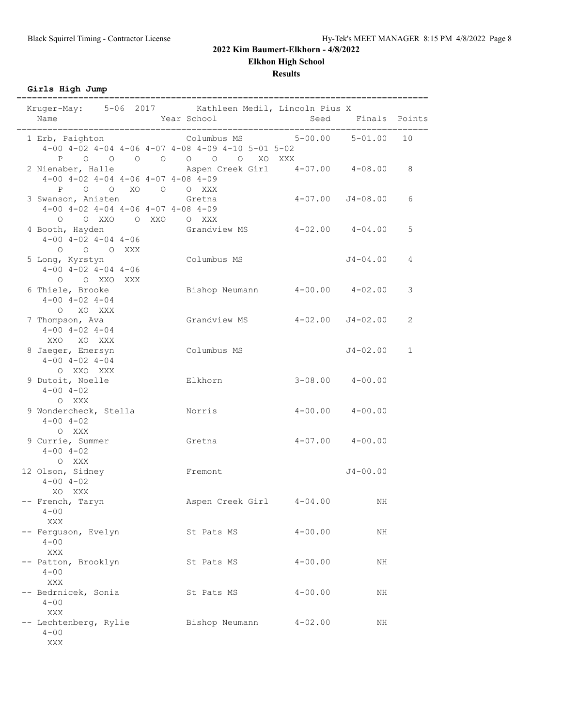**Elkhon High School**

**Results**

**Girls High Jump**

| Kruger-May: 5-06 2017 Kathleen Medil, Lincoln Pius X<br>Name                                  | Year School                                                                                     | Seed                 | Finals Points           |              |
|-----------------------------------------------------------------------------------------------|-------------------------------------------------------------------------------------------------|----------------------|-------------------------|--------------|
| 1 Erb, Paighton Columbus MS 5-00.00 5-01.00                                                   | $4-00$ $4-02$ $4-04$ $4-06$ $4-07$ $4-08$ $4-09$ $4-10$ $5-01$ $5-02$<br>P 0 0 0 0 0 0 0 XO XXX |                      |                         | 10           |
| 2 Nienaber, Halle<br>$4-00$ $4-02$ $4-04$ $4-06$ $4-07$ $4-08$ $4-09$<br>P O O XO O O XXX     | Aspen Creek Girl   4-07.00   4-08.00                                                            |                      |                         | 8            |
| 3 Swanson, Anisten<br>$4-00$ $4-02$ $4-04$ $4-06$ $4-07$ $4-08$ $4-09$<br>0 0 XXO 0 XXO 0 XXX | Gretna                                                                                          | $4-07.00$ $J4-08.00$ |                         | 6            |
| 4 Booth, Hayden<br>$4 - 00$ $4 - 02$ $4 - 04$ $4 - 06$<br>0 0 0 XXX                           | Grandview MS                                                                                    | $4-02.00$ $4-04.00$  |                         | 5            |
| 5 Long, Kyrstyn<br>$4-00$ $4-02$ $4-04$ $4-06$<br>O O XXO XXX                                 | Columbus MS                                                                                     |                      | $J4 - 04.00$            | 4            |
| 6 Thiele, Brooke<br>$4 - 00$ $4 - 02$ $4 - 04$<br>O XO XXX                                    | Bishop Neumann 4-00.00 4-02.00                                                                  |                      |                         | 3            |
| 7 Thompson, Ava<br>$4 - 00$ $4 - 02$ $4 - 04$<br>XXO XO XXX                                   | Grandview MS   4-02.00   J4-02.00                                                               |                      |                         | 2            |
| 8 Jaeger, Emersyn<br>$4 - 00$ $4 - 02$ $4 - 04$<br>O XXO XXX                                  | Columbus MS                                                                                     |                      | $J4 - 02.00$            | $\mathbf{1}$ |
| 9 Dutoit, Noelle<br>$4 - 00$ $4 - 02$<br>O XXX                                                | Elkhorn                                                                                         |                      | $3 - 08.00$ $4 - 00.00$ |              |
| 9 Wondercheck, Stella<br>$4 - 00$ $4 - 02$<br>O XXX                                           | Norris                                                                                          |                      | $4-00.00$ $4-00.00$     |              |
| 9 Currie, Summer<br>$4 - 00$ $4 - 02$<br>O XXX                                                | Gretna                                                                                          |                      | $4-07.00$ $4-00.00$     |              |
| 12 Olson, Sidney<br>$4 - 00$ $4 - 02$<br>XO XXX                                               | Fremont                                                                                         |                      | $J4 - 00.00$            |              |
| -- French, Taryn<br>$4 - 00$<br>XXX                                                           | Aspen Creek Girl                                                                                | $4 - 04.00$          | ΝH                      |              |
| -- Ferguson, Evelyn<br>$4 - 00$<br>XXX                                                        | St Pats MS                                                                                      | $4 - 00.00$          | NH                      |              |
| -- Patton, Brooklyn<br>$4 - 00$<br>XXX                                                        | St Pats MS                                                                                      | $4 - 00.00$          | ΝH                      |              |
| -- Bedrnicek, Sonia<br>$4 - 00$<br>XXX                                                        | St Pats MS                                                                                      | $4 - 00.00$          | ΝH                      |              |
| -- Lechtenberg, Rylie<br>$4 - 00$<br>XXX                                                      | Bishop Neumann                                                                                  | $4 - 02.00$          | ΝH                      |              |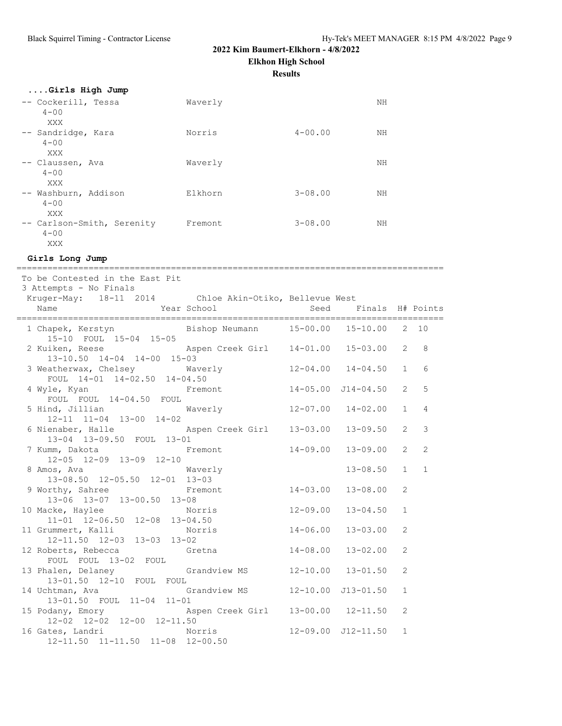**Elkhon High School**

**Results**

| Girls High Jump                               |         |             |    |
|-----------------------------------------------|---------|-------------|----|
| -- Cockerill, Tessa<br>$4 - 00$<br>XXX        | Waverly |             | NΗ |
| -- Sandridge, Kara<br>$4 - 00$<br>XXX         | Norris  | $4 - 00.00$ | NΗ |
| -- Claussen, Ava<br>$4 - 00$<br>XXX           | Waverly |             | NΗ |
| -- Washburn, Addison<br>$4 - 00$<br>XXX       | Elkhorn | $3 - 08.00$ | NН |
| -- Carlson-Smith, Serenity<br>$4 - 00$<br>XXX | Fremont | $3 - 08.00$ | NΗ |

**Girls Long Jump**

=================================================================================== To be Contested in the East Pit 3 Attempts - No Finals Kruger-May: 18-11 2014 Chloe Akin-Otiko, Bellevue West Name The Year School Seed Finals H# Points =================================================================================== Bishop Neumann 15-00.00 15-10.00 2 10 15-10 FOUL 15-04 15-05 2 Kuiken, Reese Aspen Creek Girl 14-01.00 15-03.00 2 8 13-10.50 14-04 14-00 15-03 3 Weatherwax, Chelsey Waverly 12-04.00 14-04.50 1 6 FOUL 14-01 14-02.50 14-04.50 4 Wyle, Kyan Fremont 14-05.00 J14-04.50 2 5 FOUL FOUL 14-04.50 FOUL 5 Hind, Jillian Waverly 12-07.00 14-02.00 1 4 12-11 11-04 13-00 14-02 6 Nienaber, Halle Aspen Creek Girl 13-03.00 13-09.50 2 3 13-04 13-09.50 FOUL 13-01 7 Kumm, Dakota Fremont 14-09.00 13-09.00 2 2 12-05 12-09 13-09 12-10 8 Amos, Ava Waverly 13-08.50 1 1 13-08.50 12-05.50 12-01 13-03 9 Worthy, Sahree Fremont 14-03.00 13-08.00 2 13-06 13-07 13-00.50 13-08 10 Macke, Haylee Norris 12-09.00 13-04.50 1 11-01 12-06.50 12-08 13-04.50 11 Grummert, Kalli Norris 14-06.00 13-03.00 2 12-11.50 12-03 13-03 13-02 12 Roberts, Rebecca Gretna 14-08.00 13-02.00 2 FOUL FOUL 13-02 FOUL 13 Phalen, Delaney Grandview MS 12-10.00 13-01.50 2 13-01.50 12-10 FOUL FOUL 14 Uchtman, Ava Grandview MS 12-10.00 J13-01.50 1 13-01.50 FOUL 11-04 11-01 15 Podany, Emory Aspen Creek Girl 13-00.00 12-11.50 2 12-02 12-02 12-00 12-11.50 16 Gates, Landri Norris 12-09.00 J12-11.50 1 12-11.50 11-11.50 11-08 12-00.50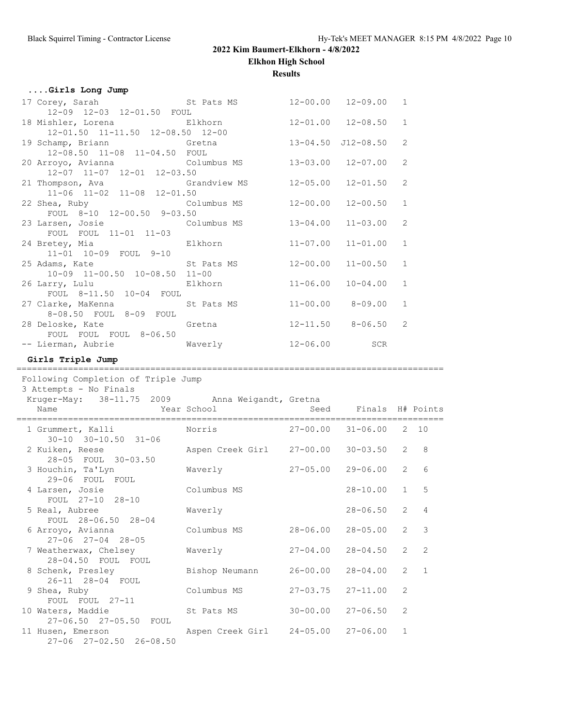**Elkhon High School**

**Results**

|  |  |  | Girls Long Jump |  |  |
|--|--|--|-----------------|--|--|
|--|--|--|-----------------|--|--|

| 17 Corey, Sarah St Pats MS                                              |              | $12 - 00.00$ $12 - 09.00$ | 1             |
|-------------------------------------------------------------------------|--------------|---------------------------|---------------|
| 12-09 12-03 12-01.50 FOUL                                               |              |                           |               |
| 18 Mishler, Lorena <b>Elkhorn</b> 12-01.00 12-08.50 1                   |              |                           |               |
| 12-01.50 11-11.50 12-08.50 12-00                                        |              |                           |               |
| 19 Schamp, Briann (13-04.50 J12-08.50)                                  |              |                           | 2             |
| 12-08.50 11-08 11-04.50 FOUL                                            |              |                           |               |
| 20 Arroyo, Avianna (Columbus MS)                                        |              | 13-03.00 12-07.00         | 2             |
| 12-07 11-07 12-01 12-03.50                                              |              |                           |               |
| 21 Thompson, Ava               Grandview MS         12-05.00   12-01.50 |              |                           | 2             |
| 11-06 11-02 11-08 12-01.50                                              |              |                           |               |
|                                                                         |              |                           | 1             |
| FOUL 8-10 12-00.50 9-03.50                                              |              |                           |               |
| 23 Larsen, Josie Columbus MS                                            |              | $13 - 04.00$ $11 - 03.00$ | $\mathcal{L}$ |
| FOUL FOUL 11-01 11-03                                                   |              |                           |               |
| 24 Bretey, Mia $\qquad \qquad$ Elkhorn $11-07.00$ 11-01.00              |              |                           | $\mathbf{1}$  |
| 11-01 10-09 FOUL 9-10                                                   |              |                           |               |
| 25 Adams, Kate St Pats MS                                               |              | $12 - 00.00$ $11 - 00.50$ | $\mathbf{1}$  |
| 10-09 11-00.50 10-08.50 11-00                                           |              |                           |               |
| 26 Larry, Lulu Elkhorn                                                  | $11 - 06.00$ | $10 - 04.00$              | $\mathbf{1}$  |
| FOUL 8-11.50 10-04 FOUL                                                 |              |                           |               |
| 27 Clarke, MaKenna St Pats MS                                           |              | $11 - 00.00$ 8-09.00      | $\mathbf{1}$  |
| 8-08.50 FOUL 8-09 FOUL                                                  |              |                           |               |
| 28 Deloske, Kate Gretna                                                 |              | $12 - 11.50$ $8 - 06.50$  | $\mathcal{L}$ |
| FOUL FOUL FOUL 8-06.50                                                  |              |                           |               |
|                                                                         |              |                           |               |
|                                                                         |              |                           |               |

## **Girls Triple Jump**

| Following Completion of Triple Jump<br>3 Attempts - No Finals          |                           |                            |                       |                |                |
|------------------------------------------------------------------------|---------------------------|----------------------------|-----------------------|----------------|----------------|
| Kruger-May: 38-11.75 2009 Anna Weigandt, Gretna<br>Year School<br>Name |                           | ===========                | Seed Finals H# Points |                |                |
| 1 Grummert, Kalli Norris<br>$30 - 10$ $30 - 10.50$ $31 - 06$           |                           | $27-00.00$ $31-06.00$ 2 10 |                       |                |                |
| 2 Kuiken, Reese<br>28-05 FOUL 30-03.50                                 | Aspen Creek Girl 27-00.00 |                            | $30 - 03.50$          | $\overline{2}$ | 8              |
| 3 Houchin, Ta'Lyn<br>29-06 FOUL FOUL                                   | Waverly                   | $27 - 05.00$               | 29-06.00              | $\overline{2}$ | 6              |
| 4 Larsen, Josie<br>FOUL 27-10 28-10                                    | Columbus MS               |                            | $28 - 10.00$          | $\mathbf{1}$   | 5              |
| 5 Real, Aubree<br>FOUL 28-06.50 28-04                                  | Waverly                   |                            | 28-06.50              | $\overline{2}$ | $\overline{4}$ |
| 6 Arroyo, Avianna<br>$27 - 06$ $27 - 04$ $28 - 05$                     | Columbus MS               | 28-06.00                   | $28 - 05.00$          | $\overline{2}$ | 3              |
| 7 Weatherwax, Chelsey<br>28-04.50 FOUL FOUL                            | Waverly                   | $27 - 04.00$               | $28 - 04.50$          | $\overline{2}$ | 2              |
| 8 Schenk, Presley<br>26-11 28-04 FOUL                                  | Bishop Neumann            | $26 - 00.00$               | $28 - 04.00$          | $\overline{2}$ | $\overline{1}$ |
| 9 Shea, Ruby<br>FOUL FOUL 27-11                                        | Columbus MS               | $27 - 03.75$               | $27 - 11.00$          | $\overline{2}$ |                |
| 10 Waters, Maddie<br>27-06.50 27-05.50 FOUL                            | St Pats MS                | $30 - 00.00$               | $27 - 06.50$          | $\overline{2}$ |                |
| 11 Husen, Emerson<br>27-06 27-02.50 26-08.50                           | Aspen Creek Girl          | $24 - 05.00$               | $27 - 06.00$          | $\mathbf{1}$   |                |

===================================================================================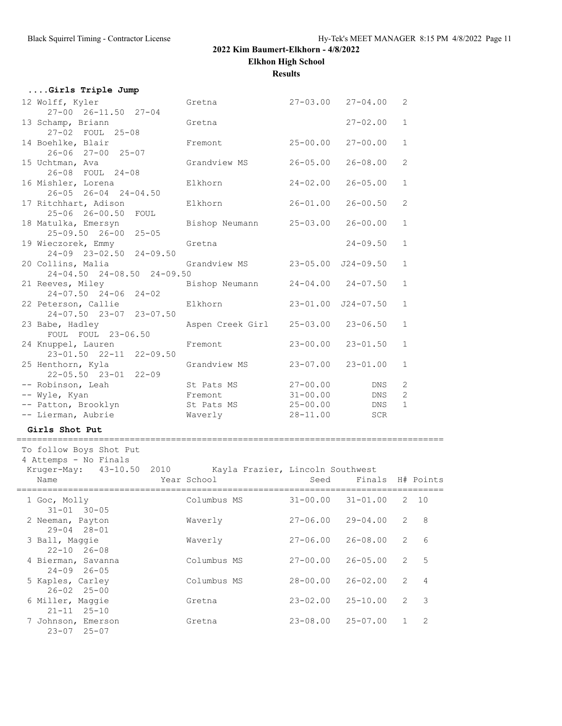**Elkhon High School**

**Results**

| Girls Triple Jump                                          |                  |              |                           |                  |
|------------------------------------------------------------|------------------|--------------|---------------------------|------------------|
| 12 Wolff, Kyler                                            | Gretna           |              | $27 - 03.00$ $27 - 04.00$ | 2                |
| $27 - 00$ $26 - 11.50$ $27 - 04$                           |                  |              |                           |                  |
| 13 Schamp, Briann                                          | Gretna           |              | $27 - 02.00$              | $\mathbf{1}$     |
| 27-02 FOUL 25-08                                           |                  |              |                           |                  |
| 14 Boehlke, Blair                                          | Fremont          | $25 - 00.00$ | $27 - 00.00$              | $\mathbf{1}$     |
| 26-06 27-00 25-07                                          |                  |              |                           |                  |
| 15 Uchtman, Ava                                            | Grandview MS     | $26 - 05.00$ | $26 - 08.00$              | 2                |
| 26-08 FOUL 24-08                                           |                  |              |                           |                  |
| 16 Mishler, Lorena                                         | Elkhorn          | $24 - 02.00$ | $26 - 05.00$              | $\mathbf{1}$     |
| $26 - 05$ $26 - 04$ $24 - 04.50$                           |                  |              |                           |                  |
| 17 Ritchhart, Adison                                       | Elkhorn          | $26 - 01.00$ | $26 - 00.50$              | 2                |
| 25-06 26-00.50 FOUL                                        |                  |              |                           |                  |
| 18 Matulka, Emersyn                                        | Bishop Neumann   | $25 - 03.00$ | $26 - 00.00$              | $\mathbf{1}$     |
| $25 - 09.50$ $26 - 00$ $25 - 05$                           |                  |              |                           |                  |
| 19 Wieczorek, Emmy                                         | Gretna           |              | 24-09.50                  | $\mathbf 1$      |
| 24-09 23-02.50 24-09.50                                    |                  |              |                           |                  |
| 20 Collins, Malia                                          | Grandview MS     |              | 23-05.00 J24-09.50        | $\mathbf{1}$     |
| 24-04.50 24-08.50 24-09.50                                 |                  |              |                           |                  |
| 21 Reeves, Miley                                           | Bishop Neumann   |              | $24 - 04.00$ 24-07.50     | $\mathbf{1}$     |
| $24 - 07.50$ 24-06 24-02                                   |                  |              |                           |                  |
| 22 Peterson, Callie                                        | Elkhorn          |              | 23-01.00 J24-07.50        | $\mathbf 1$      |
| 24-07.50 23-07 23-07.50                                    |                  |              |                           |                  |
| 23 Babe, Hadley                                            | Aspen Creek Girl |              | $25 - 03.00$ 23-06.50     | $\mathbf{1}$     |
| FOUL FOUL 23-06.50                                         |                  |              |                           |                  |
| 24 Knuppel, Lauren                                         | Fremont          | $23 - 00.00$ | $23 - 01.50$              | $\mathbf{1}$     |
| 23-01.50 22-11 22-09.50                                    |                  |              |                           |                  |
| 25 Henthorn, Kyla                                          | Grandview MS     | $23 - 07.00$ | $23 - 01.00$              | $\mathbf{1}$     |
| $22 - 05.50$ $23 - 01$ $22 - 09$                           |                  |              |                           |                  |
| -- Robinson, Leah                                          | St Pats MS       | $27 - 00.00$ | DNS                       | 2                |
| -- Wyle, Kyan                                              | Fremont          | $31 - 00.00$ | DNS                       | $\overline{2}$   |
| -- Patton, Brooklyn                                        | St Pats MS       | 25-00.00     | DNS                       | $\mathbf{1}$     |
| -- Lierman, Aubrie                                         | Waverly          | 28-11.00     | <b>SCR</b>                |                  |
|                                                            |                  |              |                           |                  |
| Girls Shot Put                                             |                  |              |                           |                  |
| To follow Boys Shot Put                                    |                  |              |                           |                  |
| 4 Attemps - No Finals                                      |                  |              |                           |                  |
| Kruger-May: 43-10.50 2010 Kayla Frazier, Lincoln Southwest |                  |              |                           |                  |
| Name                                                       | Year School      | Seed         |                           | Finals H# Points |
|                                                            |                  |              |                           |                  |
|                                                            |                  |              |                           |                  |

| Name                                         | Year School | Seed         | Finals       |               | H# Points      |
|----------------------------------------------|-------------|--------------|--------------|---------------|----------------|
| 1 Goc, Molly<br>$31 - 01$ $30 - 05$          | Columbus MS | $31 - 00.00$ | $31 - 01.00$ | 2             | 10             |
| 2 Neeman, Payton<br>$29 - 04$ $28 - 01$      | Waverly     | $27 - 06.00$ | $29 - 04.00$ | 2             | 8              |
| 3 Ball, Maggie<br>$22 - 10$ $26 - 08$        | Waverly     | $27 - 06.00$ | $26 - 08.00$ | 2             | 6              |
| 4 Bierman, Savanna<br>$24 - 09$ $26 - 05$    | Columbus MS | $27 - 00.00$ | $26 - 05.00$ | 2             | 5              |
| 5 Kaples, Carley<br>$26 - 02$ $25 - 00$      | Columbus MS | $28 - 00.00$ | $26 - 02.00$ | $\mathcal{L}$ | $\overline{4}$ |
| 6 Miller, Maggie<br>$25 - 10$<br>$21 - 11$   | Gretna      | $23 - 02.00$ | $25 - 10.00$ | $\mathcal{L}$ | 3              |
| 7 Johnson, Emerson<br>$23 - 07$<br>$25 - 07$ | Gretna      | $23 - 08.00$ | $25 - 07.00$ |               | 2              |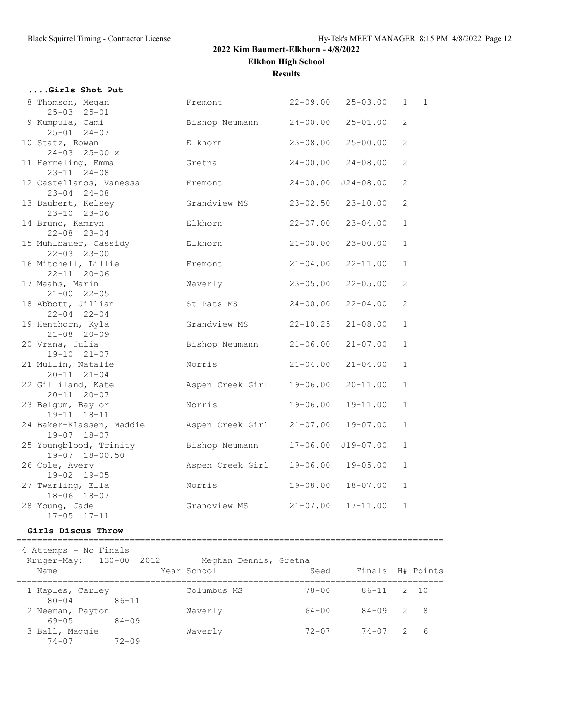**Elkhon High School**

**Results**

| Girls Shot Put                                   |                  |              |                           |              |                |
|--------------------------------------------------|------------------|--------------|---------------------------|--------------|----------------|
| 8 Thomson, Megan<br>$25 - 03$ $25 - 01$          | Fremont          | $22 - 09.00$ | $25 - 03.00$              | $\mathbf{1}$ | $\overline{1}$ |
| 9 Kumpula, Cami<br>$25 - 01$ $24 - 07$           | Bishop Neumann   | $24 - 00.00$ | $25 - 01.00$              | 2            |                |
| 10 Statz, Rowan<br>$24 - 03$ 25-00 x             | Elkhorn          | $23 - 08.00$ | $25 - 00.00$              | 2            |                |
| 11 Hermeling, Emma<br>$23 - 11$ $24 - 08$        | Gretna           | $24 - 00.00$ | $24 - 08.00$              | 2            |                |
| 12 Castellanos, Vanessa<br>$23 - 04$ $24 - 08$   | Fremont          | $24 - 00.00$ | $J24 - 08.00$             | 2            |                |
| 13 Daubert, Kelsey<br>$23 - 10$ $23 - 06$        | Grandview MS     | $23 - 02.50$ | $23 - 10.00$              | 2            |                |
| 14 Bruno, Kamryn<br>$22 - 08$ 23-04              | Elkhorn          | $22 - 07.00$ | $23 - 04.00$              | $\mathbf{1}$ |                |
| 15 Muhlbauer, Cassidy<br>$22 - 03$ $23 - 00$     | Elkhorn          | $21 - 00.00$ | $23 - 00.00$              | $\mathbf{1}$ |                |
| 16 Mitchell, Lillie<br>$22 - 11$ $20 - 06$       | Fremont          | $21 - 04.00$ | $22 - 11.00$              | $\mathbf{1}$ |                |
| 17 Maahs, Marin<br>$21 - 00$ $22 - 05$           | Waverly          | $23 - 05.00$ | $22 - 05.00$              | 2            |                |
| 18 Abbott, Jillian<br>$22 - 04$ $22 - 04$        | St Pats MS       | $24 - 00.00$ | $22 - 04.00$              | 2            |                |
| 19 Henthorn, Kyla<br>$21 - 08$ 20-09             | Grandview MS     | $22 - 10.25$ | $21 - 08.00$              | 1            |                |
| 20 Vrana, Julia<br>$19 - 10$ $21 - 07$           | Bishop Neumann   | $21 - 06.00$ | $21 - 07.00$              | $\mathbf{1}$ |                |
| 21 Mullin, Natalie<br>$20 - 11$ $21 - 04$        | Norris           | $21 - 04.00$ | $21 - 04.00$              | $\mathbf{1}$ |                |
| 22 Gilliland, Kate<br>$20 - 11$ $20 - 07$        | Aspen Creek Girl | $19 - 06.00$ | $20 - 11.00$              | 1            |                |
| 23 Belgum, Baylor<br>$19 - 11$ $18 - 11$         | Norris           | $19 - 06.00$ | $19 - 11.00$              | 1            |                |
| 24 Baker-Klassen, Maddie<br>$19 - 07$ $18 - 07$  | Aspen Creek Girl | $21 - 07.00$ | $19 - 07.00$              | $\mathbf{1}$ |                |
| 25 Youngblood, Trinity<br>$19 - 07$ $18 - 00.50$ | Bishop Neumann   | $17 - 06.00$ | $J19-07.00$               | $\mathbf{1}$ |                |
| 26 Cole, Avery<br>$19 - 02$ $19 - 05$            | Aspen Creek Girl |              | $19 - 06.00$ $19 - 05.00$ | $\mathbf{1}$ |                |
| 27 Twarling, Ella<br>18-06 18-07                 | Norris           | 19-08.00     | $18 - 07.00$              | 1            |                |
| 28 Young, Jade<br>$17 - 05$ $17 - 11$            | Grandview MS     | $21 - 07.00$ | $17 - 11.00$              | $\mathbf{1}$ |                |

### **Girls Discus Throw**

===================================================================================

 4 Attemps - No Finals Kruger-May: 130-00 2012 Meghan Dennis, Gretna Name Year School Seed Finals H# Points =================================================================================== 1 Kaples, Carley Columbus MS 78-00 86-11 2 10 80-04 86-11 2 Neeman, Payton Waverly 64-00 84-09 2 8 69-05 84-09 3 Ball, Maggie Waverly 72-07 74-07 2 6 74-07 72-09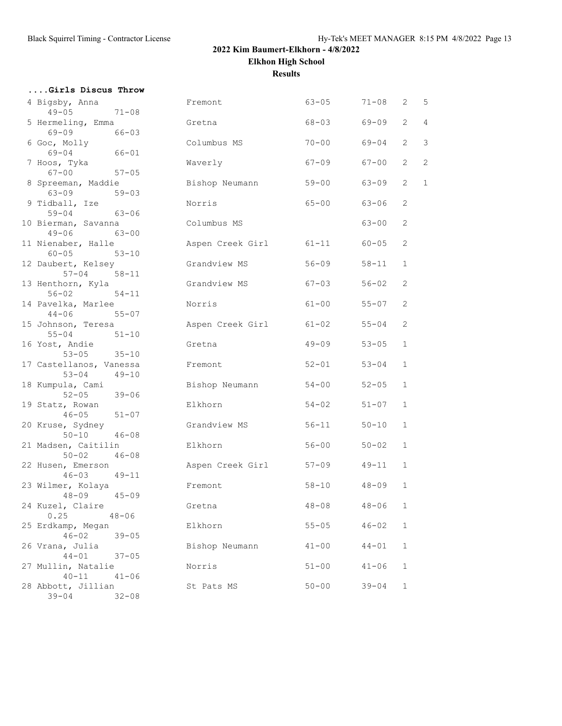**....Girls Discus Throw**

# **2022 Kim Baumert-Elkhorn - 4/8/2022 Elkhon High School**

**Results**

| 4 Bigsby, Anna<br>$49 - 05$<br>$71 - 08$                               | Fremont          | $63 - 05$ | $71 - 08$ | 2              | 5              |
|------------------------------------------------------------------------|------------------|-----------|-----------|----------------|----------------|
| 5 Hermeling, Emma                                                      | Gretna           | $68 - 03$ | 69-09     | $\overline{2}$ | 4              |
| 69-09<br>$66 - 03$<br>6 Goc, Molly                                     | Columbus MS      | $70 - 00$ | $69 - 04$ | $\overline{2}$ | 3              |
| $69 - 04$<br>66-01<br>7 Hoos, Tyka                                     | Waverly          | $67 - 09$ | 67-00     | $\overline{2}$ | $\overline{c}$ |
| $67 - 00$<br>$57 - 05$                                                 |                  |           |           |                | $\mathbf{1}$   |
| 8 Spreeman, Maddie<br>$63 - 09$<br>$59 - 03$                           | Bishop Neumann   | $59 - 00$ | 63-09     | $\overline{2}$ |                |
| 9 Tidball, Ize<br>$59 - 04$<br>63-06                                   | Norris           | $65 - 00$ | $63 - 06$ | 2              |                |
| 10 Bierman, Savanna<br>$49 - 06$<br>63-00                              | Columbus MS      |           | $63 - 00$ | 2              |                |
| 11 Nienaber, Halle<br>$60 - 05$<br>$53 - 10$                           | Aspen Creek Girl | $61 - 11$ | $60 - 05$ | 2              |                |
| 12 Daubert, Kelsey<br>$57 - 04$<br>$58 - 11$                           | Grandview MS     | $56 - 09$ | $58 - 11$ | $\mathbf{1}$   |                |
| 13 Henthorn, Kyla<br>$56 - 02$<br>$54 - 11$                            | Grandview MS     | $67 - 03$ | $56 - 02$ | 2              |                |
| 14 Pavelka, Marlee<br>$44 - 06$<br>$55 - 07$                           | Norris           | $61 - 00$ | $55 - 07$ | 2              |                |
| 15 Johnson, Teresa<br>$55 - 04$<br>$51 - 10$                           | Aspen Creek Girl | $61 - 02$ | $55 - 04$ | 2              |                |
| 16 Yost, Andie<br>$53 - 05$<br>$35 - 10$                               | Gretna           | $49 - 09$ | $53 - 05$ | $\mathbf{1}$   |                |
| 17 Castellanos, Vanessa<br>$53 - 04$<br>$49 - 10$                      | Fremont          | $52 - 01$ | $53 - 04$ | $\mathbf{1}$   |                |
| 18 Kumpula, Cami<br>$52 - 05$<br>$39 - 06$                             | Bishop Neumann   | $54 - 00$ | $52 - 05$ | $\mathbf{1}$   |                |
| 19 Statz, Rowan<br>$46 - 05$ $51 - 07$                                 | Elkhorn          | $54 - 02$ | $51 - 07$ | $\mathbf{1}$   |                |
| 20 Kruse, Sydney<br>$50 - 10$<br>$46 - 08$                             | Grandview MS     | $56 - 11$ | $50 - 10$ | $\mathbf{1}$   |                |
| 21 Madsen, Caitilin<br>$50 - 02$<br>$46 - 08$                          | Elkhorn          | $56 - 00$ | $50 - 02$ | $\mathbf{1}$   |                |
| 22 Husen, Emerson<br>$46 - 03$<br>$49 - 11$                            | Aspen Creek Girl | $57 - 09$ | $49 - 11$ | $\mathbf{1}$   |                |
| 23 Wilmer, Kolaya<br>$48 - 09$<br>$45 - 09$                            | Fremont          | $58 - 10$ | $48 - 09$ | $\mathbf{1}$   |                |
| 24 Kuzel, Claire<br>0.25<br>$48 - 06$                                  | Gretna           | $48 - 08$ | $48 - 06$ | $\mathbf{1}$   |                |
| 25 Erdkamp, Megan<br>$46 - 02$<br>$39 - 05$                            | Elkhorn          | $55 - 05$ | $46 - 02$ | $\mathbf{1}$   |                |
| 26 Vrana, Julia<br>$44 - 01$<br>$37 - 05$                              | Bishop Neumann   | $41 - 00$ | $44 - 01$ | $\mathbf{1}$   |                |
| 27 Mullin, Natalie                                                     | Norris           | $51 - 00$ | $41 - 06$ | 1              |                |
| $40 - 11$<br>$41 - 06$<br>28 Abbott, Jillian<br>$39 - 04$<br>$32 - 08$ | St Pats MS       | $50 - 00$ | $39 - 04$ | $\mathbf{1}$   |                |
|                                                                        |                  |           |           |                |                |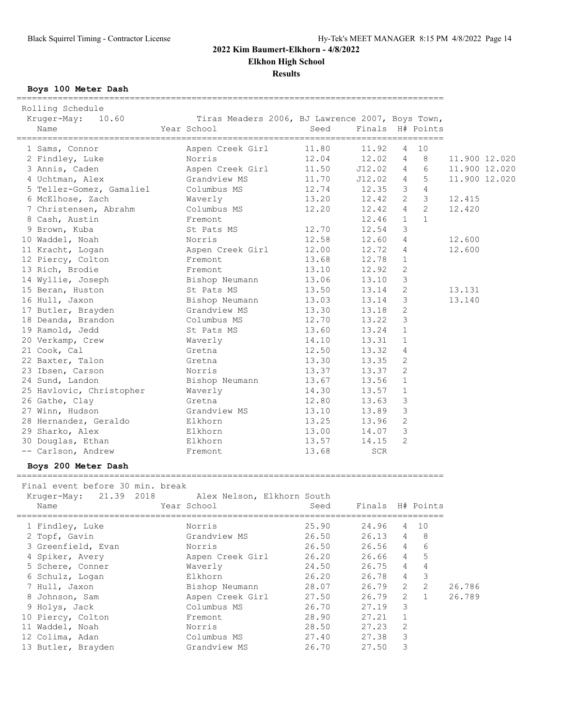**Elkhon High School**

**Results**

**Boys 100 Meter Dash**

| 11.80<br>1 Sams, Connor<br>Aspen Creek Girl<br>11.92<br>10<br>4<br>2 Findley, Luke<br>Norris<br>12.04<br>12.02<br>8<br>11.900 12.020<br>$\overline{4}$<br>3 Annis, Caden<br>Aspen Creek Girl<br>11.50<br>J12.02<br>$4\overline{ }$<br>6<br>11.900 12.020<br>5<br>4 Uchtman, Alex<br>Grandview MS<br>11.70<br>J12.02<br>$4\degree$<br>11.900 12.020<br>$\mathcal{S}$<br>$\overline{4}$<br>5 Tellez-Gomez, Gamaliel<br>Columbus MS<br>12.74<br>12.35<br>$\mathcal{S}$<br>$2^{\circ}$<br>6 McElhose, Zach<br>13.20<br>12.42<br>Waverly<br>12.415<br>2<br>Columbus MS<br>12.20<br>12.42<br>$4\overline{ }$<br>12.420<br>7 Christensen, Abrahm<br>$\mathbf{1}$<br>$\mathbf{1}$<br>8 Cash, Austin<br>12.46<br>Fremont<br>3<br>12.54<br>9 Brown, Kuba<br>12.70<br>St Pats MS<br>10 Waddel, Noah<br>Norris<br>12.58<br>12.60<br>4<br>12.600<br>11 Kracht, Logan<br>Aspen Creek Girl<br>12.00<br>12.72<br>4<br>12.600<br>12 Piercy, Colton<br>Fremont<br>13.68<br>12.78<br>$\mathbf{1}$<br>2<br>12.92<br>13 Rich, Brodie<br>13.10<br>Fremont<br>3<br>14 Wyllie, Joseph<br>13.06<br>13.10<br>Bishop Neumann<br>2<br>15 Beran, Huston<br>St Pats MS<br>13.50<br>13.14<br>13.131<br>3<br>16 Hull, Jaxon<br>Bishop Neumann<br>13.03<br>13.14<br>13.140<br>2<br>Grandview MS<br>13.30<br>17 Butler, Brayden<br>13.18<br>18 Deanda, Brandon<br>3<br>Columbus MS<br>12.70<br>13.22<br>19 Ramold, Jedd<br>13.24<br>$\mathbf{1}$<br>St Pats MS<br>13.60<br>20 Verkamp, Crew<br>Waverly<br>14.10<br>13.31<br>$\mathbf{1}$<br>21 Cook, Cal<br>12.50<br>13.32<br>4<br>Gretna<br>2<br>13.30<br>22 Baxter, Talon<br>Gretna<br>13.35<br>2<br>23 Ibsen, Carson<br>Norris<br>13.37<br>13.37<br>24 Sund, Landon<br>13.56<br>$\mathbf{1}$<br>Bishop Neumann<br>13.67<br>25 Havlovic, Christopher<br>14.30<br>Waverly<br>13.57<br>$\mathbf{1}$<br>3<br>26 Gathe, Clay<br>12.80<br>13.63<br>Gretna<br>3<br>27 Winn, Hudson<br>Grandview MS<br>13.10<br>13.89<br>2<br>28 Hernandez, Geraldo<br>Elkhorn<br>13.25<br>13.96<br>29 Sharko, Alex<br>3<br>Elkhorn<br>13.00<br>14.07<br>30 Douglas, Ethan<br>Elkhorn<br>$\overline{2}$<br>13.57<br>14.15<br>-- Carlson, Andrew<br>13.68<br>SCR<br>Fremont<br>Boys 200 Meter Dash<br>Final event before 30 min. break<br>Alex Nelson, Elkhorn South | Rolling Schedule<br>10.60<br>Kruger-May:<br>Name | Tiras Meaders 2006, BJ Lawrence 2007, Boys Town,<br>Year School | Seed | Finals H# Points |  |  |
|--------------------------------------------------------------------------------------------------------------------------------------------------------------------------------------------------------------------------------------------------------------------------------------------------------------------------------------------------------------------------------------------------------------------------------------------------------------------------------------------------------------------------------------------------------------------------------------------------------------------------------------------------------------------------------------------------------------------------------------------------------------------------------------------------------------------------------------------------------------------------------------------------------------------------------------------------------------------------------------------------------------------------------------------------------------------------------------------------------------------------------------------------------------------------------------------------------------------------------------------------------------------------------------------------------------------------------------------------------------------------------------------------------------------------------------------------------------------------------------------------------------------------------------------------------------------------------------------------------------------------------------------------------------------------------------------------------------------------------------------------------------------------------------------------------------------------------------------------------------------------------------------------------------------------------------------------------------------------------------------------------------------------------------------------------------------------------------------------------------------------------------------------------------------------------------------------------------------------------------------------------------|--------------------------------------------------|-----------------------------------------------------------------|------|------------------|--|--|
|                                                                                                                                                                                                                                                                                                                                                                                                                                                                                                                                                                                                                                                                                                                                                                                                                                                                                                                                                                                                                                                                                                                                                                                                                                                                                                                                                                                                                                                                                                                                                                                                                                                                                                                                                                                                                                                                                                                                                                                                                                                                                                                                                                                                                                                              |                                                  |                                                                 |      |                  |  |  |
|                                                                                                                                                                                                                                                                                                                                                                                                                                                                                                                                                                                                                                                                                                                                                                                                                                                                                                                                                                                                                                                                                                                                                                                                                                                                                                                                                                                                                                                                                                                                                                                                                                                                                                                                                                                                                                                                                                                                                                                                                                                                                                                                                                                                                                                              |                                                  |                                                                 |      |                  |  |  |
|                                                                                                                                                                                                                                                                                                                                                                                                                                                                                                                                                                                                                                                                                                                                                                                                                                                                                                                                                                                                                                                                                                                                                                                                                                                                                                                                                                                                                                                                                                                                                                                                                                                                                                                                                                                                                                                                                                                                                                                                                                                                                                                                                                                                                                                              |                                                  |                                                                 |      |                  |  |  |
|                                                                                                                                                                                                                                                                                                                                                                                                                                                                                                                                                                                                                                                                                                                                                                                                                                                                                                                                                                                                                                                                                                                                                                                                                                                                                                                                                                                                                                                                                                                                                                                                                                                                                                                                                                                                                                                                                                                                                                                                                                                                                                                                                                                                                                                              |                                                  |                                                                 |      |                  |  |  |
|                                                                                                                                                                                                                                                                                                                                                                                                                                                                                                                                                                                                                                                                                                                                                                                                                                                                                                                                                                                                                                                                                                                                                                                                                                                                                                                                                                                                                                                                                                                                                                                                                                                                                                                                                                                                                                                                                                                                                                                                                                                                                                                                                                                                                                                              |                                                  |                                                                 |      |                  |  |  |
|                                                                                                                                                                                                                                                                                                                                                                                                                                                                                                                                                                                                                                                                                                                                                                                                                                                                                                                                                                                                                                                                                                                                                                                                                                                                                                                                                                                                                                                                                                                                                                                                                                                                                                                                                                                                                                                                                                                                                                                                                                                                                                                                                                                                                                                              |                                                  |                                                                 |      |                  |  |  |
|                                                                                                                                                                                                                                                                                                                                                                                                                                                                                                                                                                                                                                                                                                                                                                                                                                                                                                                                                                                                                                                                                                                                                                                                                                                                                                                                                                                                                                                                                                                                                                                                                                                                                                                                                                                                                                                                                                                                                                                                                                                                                                                                                                                                                                                              |                                                  |                                                                 |      |                  |  |  |
|                                                                                                                                                                                                                                                                                                                                                                                                                                                                                                                                                                                                                                                                                                                                                                                                                                                                                                                                                                                                                                                                                                                                                                                                                                                                                                                                                                                                                                                                                                                                                                                                                                                                                                                                                                                                                                                                                                                                                                                                                                                                                                                                                                                                                                                              |                                                  |                                                                 |      |                  |  |  |
|                                                                                                                                                                                                                                                                                                                                                                                                                                                                                                                                                                                                                                                                                                                                                                                                                                                                                                                                                                                                                                                                                                                                                                                                                                                                                                                                                                                                                                                                                                                                                                                                                                                                                                                                                                                                                                                                                                                                                                                                                                                                                                                                                                                                                                                              |                                                  |                                                                 |      |                  |  |  |
|                                                                                                                                                                                                                                                                                                                                                                                                                                                                                                                                                                                                                                                                                                                                                                                                                                                                                                                                                                                                                                                                                                                                                                                                                                                                                                                                                                                                                                                                                                                                                                                                                                                                                                                                                                                                                                                                                                                                                                                                                                                                                                                                                                                                                                                              |                                                  |                                                                 |      |                  |  |  |
|                                                                                                                                                                                                                                                                                                                                                                                                                                                                                                                                                                                                                                                                                                                                                                                                                                                                                                                                                                                                                                                                                                                                                                                                                                                                                                                                                                                                                                                                                                                                                                                                                                                                                                                                                                                                                                                                                                                                                                                                                                                                                                                                                                                                                                                              |                                                  |                                                                 |      |                  |  |  |
|                                                                                                                                                                                                                                                                                                                                                                                                                                                                                                                                                                                                                                                                                                                                                                                                                                                                                                                                                                                                                                                                                                                                                                                                                                                                                                                                                                                                                                                                                                                                                                                                                                                                                                                                                                                                                                                                                                                                                                                                                                                                                                                                                                                                                                                              |                                                  |                                                                 |      |                  |  |  |
|                                                                                                                                                                                                                                                                                                                                                                                                                                                                                                                                                                                                                                                                                                                                                                                                                                                                                                                                                                                                                                                                                                                                                                                                                                                                                                                                                                                                                                                                                                                                                                                                                                                                                                                                                                                                                                                                                                                                                                                                                                                                                                                                                                                                                                                              |                                                  |                                                                 |      |                  |  |  |
|                                                                                                                                                                                                                                                                                                                                                                                                                                                                                                                                                                                                                                                                                                                                                                                                                                                                                                                                                                                                                                                                                                                                                                                                                                                                                                                                                                                                                                                                                                                                                                                                                                                                                                                                                                                                                                                                                                                                                                                                                                                                                                                                                                                                                                                              |                                                  |                                                                 |      |                  |  |  |
|                                                                                                                                                                                                                                                                                                                                                                                                                                                                                                                                                                                                                                                                                                                                                                                                                                                                                                                                                                                                                                                                                                                                                                                                                                                                                                                                                                                                                                                                                                                                                                                                                                                                                                                                                                                                                                                                                                                                                                                                                                                                                                                                                                                                                                                              |                                                  |                                                                 |      |                  |  |  |
|                                                                                                                                                                                                                                                                                                                                                                                                                                                                                                                                                                                                                                                                                                                                                                                                                                                                                                                                                                                                                                                                                                                                                                                                                                                                                                                                                                                                                                                                                                                                                                                                                                                                                                                                                                                                                                                                                                                                                                                                                                                                                                                                                                                                                                                              |                                                  |                                                                 |      |                  |  |  |
|                                                                                                                                                                                                                                                                                                                                                                                                                                                                                                                                                                                                                                                                                                                                                                                                                                                                                                                                                                                                                                                                                                                                                                                                                                                                                                                                                                                                                                                                                                                                                                                                                                                                                                                                                                                                                                                                                                                                                                                                                                                                                                                                                                                                                                                              |                                                  |                                                                 |      |                  |  |  |
|                                                                                                                                                                                                                                                                                                                                                                                                                                                                                                                                                                                                                                                                                                                                                                                                                                                                                                                                                                                                                                                                                                                                                                                                                                                                                                                                                                                                                                                                                                                                                                                                                                                                                                                                                                                                                                                                                                                                                                                                                                                                                                                                                                                                                                                              |                                                  |                                                                 |      |                  |  |  |
|                                                                                                                                                                                                                                                                                                                                                                                                                                                                                                                                                                                                                                                                                                                                                                                                                                                                                                                                                                                                                                                                                                                                                                                                                                                                                                                                                                                                                                                                                                                                                                                                                                                                                                                                                                                                                                                                                                                                                                                                                                                                                                                                                                                                                                                              |                                                  |                                                                 |      |                  |  |  |
|                                                                                                                                                                                                                                                                                                                                                                                                                                                                                                                                                                                                                                                                                                                                                                                                                                                                                                                                                                                                                                                                                                                                                                                                                                                                                                                                                                                                                                                                                                                                                                                                                                                                                                                                                                                                                                                                                                                                                                                                                                                                                                                                                                                                                                                              |                                                  |                                                                 |      |                  |  |  |
|                                                                                                                                                                                                                                                                                                                                                                                                                                                                                                                                                                                                                                                                                                                                                                                                                                                                                                                                                                                                                                                                                                                                                                                                                                                                                                                                                                                                                                                                                                                                                                                                                                                                                                                                                                                                                                                                                                                                                                                                                                                                                                                                                                                                                                                              |                                                  |                                                                 |      |                  |  |  |
|                                                                                                                                                                                                                                                                                                                                                                                                                                                                                                                                                                                                                                                                                                                                                                                                                                                                                                                                                                                                                                                                                                                                                                                                                                                                                                                                                                                                                                                                                                                                                                                                                                                                                                                                                                                                                                                                                                                                                                                                                                                                                                                                                                                                                                                              |                                                  |                                                                 |      |                  |  |  |
|                                                                                                                                                                                                                                                                                                                                                                                                                                                                                                                                                                                                                                                                                                                                                                                                                                                                                                                                                                                                                                                                                                                                                                                                                                                                                                                                                                                                                                                                                                                                                                                                                                                                                                                                                                                                                                                                                                                                                                                                                                                                                                                                                                                                                                                              |                                                  |                                                                 |      |                  |  |  |
|                                                                                                                                                                                                                                                                                                                                                                                                                                                                                                                                                                                                                                                                                                                                                                                                                                                                                                                                                                                                                                                                                                                                                                                                                                                                                                                                                                                                                                                                                                                                                                                                                                                                                                                                                                                                                                                                                                                                                                                                                                                                                                                                                                                                                                                              |                                                  |                                                                 |      |                  |  |  |
|                                                                                                                                                                                                                                                                                                                                                                                                                                                                                                                                                                                                                                                                                                                                                                                                                                                                                                                                                                                                                                                                                                                                                                                                                                                                                                                                                                                                                                                                                                                                                                                                                                                                                                                                                                                                                                                                                                                                                                                                                                                                                                                                                                                                                                                              |                                                  |                                                                 |      |                  |  |  |
|                                                                                                                                                                                                                                                                                                                                                                                                                                                                                                                                                                                                                                                                                                                                                                                                                                                                                                                                                                                                                                                                                                                                                                                                                                                                                                                                                                                                                                                                                                                                                                                                                                                                                                                                                                                                                                                                                                                                                                                                                                                                                                                                                                                                                                                              |                                                  |                                                                 |      |                  |  |  |
|                                                                                                                                                                                                                                                                                                                                                                                                                                                                                                                                                                                                                                                                                                                                                                                                                                                                                                                                                                                                                                                                                                                                                                                                                                                                                                                                                                                                                                                                                                                                                                                                                                                                                                                                                                                                                                                                                                                                                                                                                                                                                                                                                                                                                                                              |                                                  |                                                                 |      |                  |  |  |
|                                                                                                                                                                                                                                                                                                                                                                                                                                                                                                                                                                                                                                                                                                                                                                                                                                                                                                                                                                                                                                                                                                                                                                                                                                                                                                                                                                                                                                                                                                                                                                                                                                                                                                                                                                                                                                                                                                                                                                                                                                                                                                                                                                                                                                                              |                                                  |                                                                 |      |                  |  |  |
|                                                                                                                                                                                                                                                                                                                                                                                                                                                                                                                                                                                                                                                                                                                                                                                                                                                                                                                                                                                                                                                                                                                                                                                                                                                                                                                                                                                                                                                                                                                                                                                                                                                                                                                                                                                                                                                                                                                                                                                                                                                                                                                                                                                                                                                              |                                                  |                                                                 |      |                  |  |  |
|                                                                                                                                                                                                                                                                                                                                                                                                                                                                                                                                                                                                                                                                                                                                                                                                                                                                                                                                                                                                                                                                                                                                                                                                                                                                                                                                                                                                                                                                                                                                                                                                                                                                                                                                                                                                                                                                                                                                                                                                                                                                                                                                                                                                                                                              |                                                  |                                                                 |      |                  |  |  |
|                                                                                                                                                                                                                                                                                                                                                                                                                                                                                                                                                                                                                                                                                                                                                                                                                                                                                                                                                                                                                                                                                                                                                                                                                                                                                                                                                                                                                                                                                                                                                                                                                                                                                                                                                                                                                                                                                                                                                                                                                                                                                                                                                                                                                                                              |                                                  |                                                                 |      |                  |  |  |
|                                                                                                                                                                                                                                                                                                                                                                                                                                                                                                                                                                                                                                                                                                                                                                                                                                                                                                                                                                                                                                                                                                                                                                                                                                                                                                                                                                                                                                                                                                                                                                                                                                                                                                                                                                                                                                                                                                                                                                                                                                                                                                                                                                                                                                                              |                                                  |                                                                 |      |                  |  |  |
|                                                                                                                                                                                                                                                                                                                                                                                                                                                                                                                                                                                                                                                                                                                                                                                                                                                                                                                                                                                                                                                                                                                                                                                                                                                                                                                                                                                                                                                                                                                                                                                                                                                                                                                                                                                                                                                                                                                                                                                                                                                                                                                                                                                                                                                              |                                                  |                                                                 |      |                  |  |  |
| Year School<br>Name<br>Finals<br>Seed<br>H# Points                                                                                                                                                                                                                                                                                                                                                                                                                                                                                                                                                                                                                                                                                                                                                                                                                                                                                                                                                                                                                                                                                                                                                                                                                                                                                                                                                                                                                                                                                                                                                                                                                                                                                                                                                                                                                                                                                                                                                                                                                                                                                                                                                                                                           | 21.39 2018<br>Kruger-May:                        |                                                                 |      |                  |  |  |

| 1 Findley, Luke    | Norris           | 25.90 | 24.96 |                | 4 10        |        |
|--------------------|------------------|-------|-------|----------------|-------------|--------|
| 2 Topf, Gavin      | Grandview MS     | 26.50 | 26.13 | $\overline{4}$ | -8          |        |
| 3 Greenfield, Evan | Norris           | 26.50 | 26.56 | $\overline{4}$ | 6           |        |
| 4 Spiker, Avery    | Aspen Creek Girl | 26.20 | 26.66 | 4              | 5           |        |
| 5 Schere, Conner   | Waverly          | 24.50 | 26.75 | $\overline{4}$ | 4           |        |
| 6 Schulz, Logan    | Elkhorn          | 26.20 | 26.78 | $\overline{4}$ | 3           |        |
| 7 Hull, Jaxon      | Bishop Neumann   | 28.07 | 26.79 | 2              | 2           | 26.786 |
| 8 Johnson, Sam     | Aspen Creek Girl | 27.50 | 26.79 |                | $2 \quad 1$ | 26.789 |
| 9 Holys, Jack      | Columbus MS      | 26.70 | 27.19 | 3              |             |        |
| 10 Piercy, Colton  | Fremont          | 28.90 | 27.21 |                |             |        |
| 11 Waddel, Noah    | Norris           | 28.50 | 27.23 | 2              |             |        |
| 12 Colima, Adan    | Columbus MS      | 27.40 | 27.38 | 3              |             |        |
| 13 Butler, Brayden | Grandview MS     | 26.70 | 27.50 | 3              |             |        |
|                    |                  |       |       |                |             |        |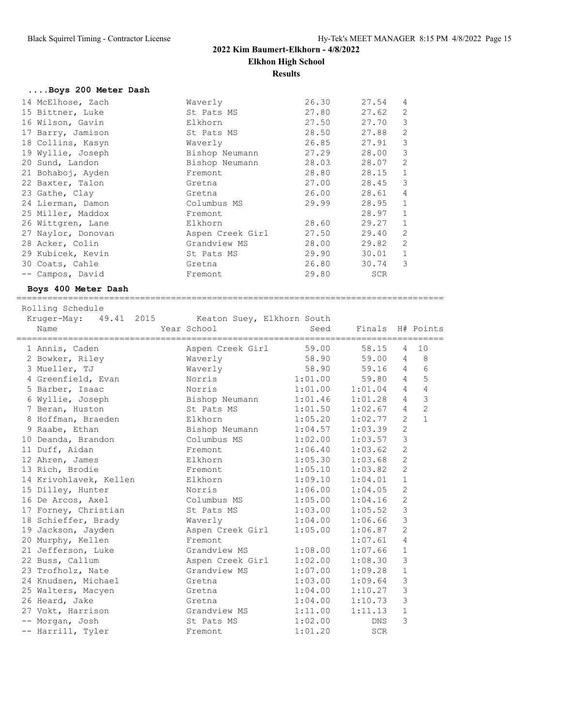# **2022 Kim Baumert-Elkhorn - 4/8/2022 Elkhon High School Results**

## **....Boys 200 Meter Dash**

| 14 McElhose, Zach  | Waverly          | 26.30 | 27.54 | 4              |
|--------------------|------------------|-------|-------|----------------|
| 15 Bittner, Luke   | St Pats MS       | 27.80 | 27.62 | $\mathfrak{D}$ |
| 16 Wilson, Gavin   | Elkhorn          | 27.50 | 27.70 | 3              |
| 17 Barry, Jamison  | St Pats MS       | 28.50 | 27.88 | 2              |
| 18 Collins, Kasyn  | Waverly          | 26.85 | 27.91 | 3              |
| 19 Wyllie, Joseph  | Bishop Neumann   | 27.29 | 28.00 | 3              |
| 20 Sund, Landon    | Bishop Neumann   | 28.03 | 28.07 | 2              |
| 21 Bohaboj, Ayden  | Fremont          | 28.80 | 28.15 | $\mathbf{1}$   |
| 22 Baxter, Talon   | Gretna           | 27.00 | 28.45 | 3              |
| 23 Gathe, Clay     | Gretna           | 26.00 | 28.61 | 4              |
| 24 Lierman, Damon  | Columbus MS      | 29.99 | 28.95 | $\mathbf{1}$   |
| 25 Miller, Maddox  | Fremont          |       | 28.97 | $\mathbf{1}$   |
| 26 Wittgren, Lane  | Elkhorn          | 28.60 | 29.27 | $\mathbf{1}$   |
| 27 Naylor, Donovan | Aspen Creek Girl | 27.50 | 29.40 | $\overline{2}$ |
| 28 Acker, Colin    | Grandview MS     | 28.00 | 29.82 | $\overline{2}$ |
| 29 Kubicek, Kevin  | St Pats MS       | 29.90 | 30.01 | $\mathbf{1}$   |
| 30 Coats, Cahle    | Gretna           | 26.80 | 30.74 | 3              |
| -- Campos, David   | Fremont          | 29.80 | SCR   |                |

## **Boys 400 Meter Dash**

=================================================================================== Rolling Schedule

Kruger-May: 49.41 2015 Keaton Suey, Elkhorn South

| Name                                       | Year School                    |                     | Seed Finals H# Points |                |                |
|--------------------------------------------|--------------------------------|---------------------|-----------------------|----------------|----------------|
| 1 Annis, Caden                             | Aspen Creek Girl 59.00         |                     | 58.15                 | $\overline{4}$ | 10             |
| 2 Bowker, Riley                            | Waverly                        | 58.90 59.00         |                       | $\overline{4}$ | $_{\rm 8}$     |
| 3 Mueller, TJ                              | Waverly                        | 58.90 59.16         |                       | $\overline{4}$ | $\epsilon$     |
| 4 Greenfield, Evan Norris                  |                                | 1:01.00 59.80       |                       | $\overline{4}$ | 5              |
| 5 Barber, Isaac                            | Norris                         | $1:01.00$ $1:01.04$ |                       | $\overline{4}$ | $\overline{4}$ |
| 6 Wyllie, Joseph                           | Bishop Neumann 1:01.46 1:01.28 |                     |                       | $\overline{4}$ | $\overline{3}$ |
| 7 Beran, Huston                            | St Pats MS                     | 1:01.50             | 1:02.67               | $\overline{4}$ | $\overline{c}$ |
| 8 Hoffman, Braeden Blkhorn 1:05.20 1:02.77 |                                |                     |                       | $\overline{2}$ | $\mathbf{1}$   |
| 9 Raabe, Ethan                             | Bishop Neumann 1:04.57 1:03.39 |                     |                       | 2              |                |
| 10 Deanda, Brandon                         | Columbus MS 1:02.00            |                     | 1:03.57               | 3              |                |
| 11 Duff, Aidan                             | Fremont                        | 1:06.40             | 1:03.62               | $\overline{c}$ |                |
| 12 Ahren, James                            | Elkhorn                        | 1:05.30             | 1:03.68               | $\mathbf{2}$   |                |
| 13 Rich, Brodie                            | Fremont                        | 1:05.10             | 1:03.82               | $\overline{c}$ |                |
| 14 Krivohlavek, Kellen Kalkhorn            |                                | $1:09.10$ $1:04.01$ |                       | $\mathbf{1}$   |                |
| 15 Dilley, Hunter Norris                   |                                | $1:06.00$ $1:04.05$ |                       | $\overline{c}$ |                |
| 16 De Arcos, Axel                          | Columbus MS 1:05.00            |                     | 1:04.16               | $\overline{c}$ |                |
| 17 Forney, Christian                       | St Pats MS                     | 1:03.00             | 1:05.52               | 3              |                |
| 18 Schieffer, Brady Maverly                |                                | $1:04.00$ $1:06.66$ |                       | $\mathcal{S}$  |                |
| 19 Jackson, Jayden                         | Aspen Creek Girl 1:05.00       |                     | 1:06.87               | $\mathbf{2}$   |                |
| 20 Murphy, Kellen                          | Fremont                        |                     | 1:07.61               | $\overline{4}$ |                |
| 21 Jefferson, Luke Grandview MS 1:08.00    |                                |                     | 1:07.66               | $\mathbf{1}$   |                |
| 22 Buss, Callum                            | Aspen Creek Girl               | 1:02.00             | 1:08.30               | 3              |                |
| 23 Trofholz, Nate                          | Grandview MS                   | 1:07.00             | 1:09.28               | $\mathbf{1}$   |                |
| 24 Knudsen, Michael                        | Gretna                         | 1:03.00             | 1:09.64               | 3              |                |
| 25 Walters, Macyen                         | Gretna                         | 1:04.00             | 1:10.27               | 3              |                |
| 26 Heard, Jake                             | Gretna                         | 1:04.00             | 1:10.73               | 3              |                |
| 27 Vokt, Harrison                          | Grandview MS                   | 1:11.00             | 1:11.13               | $\,1\,$        |                |
| -- Morgan, Josh                            |                                |                     | DNS                   | 3              |                |
| -- Harrill, Tyler                          | Fremont                        | 1:01.20             | SCR                   |                |                |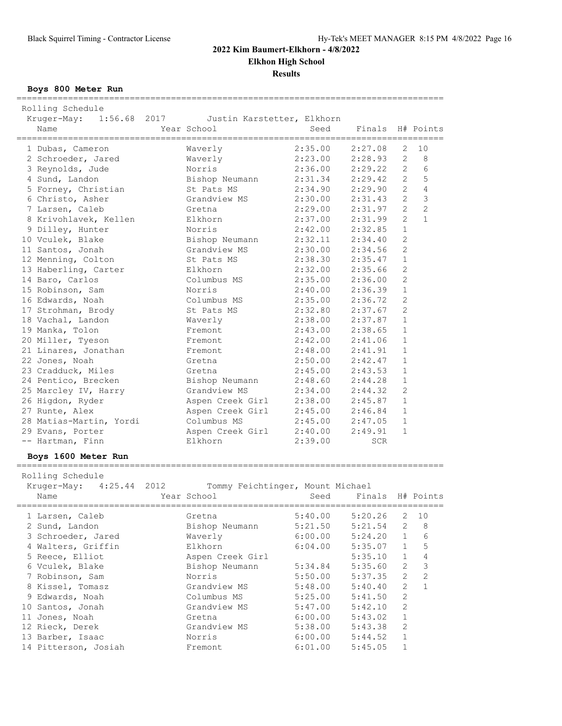**Elkhon High School**

**Results**

**Boys 800 Meter Run**

=================================================================================== Rolling Schedule Kruger-May: 1:56.68 2017 Justin Karstetter, Elkhorn Name  $Year School$  Seed Finals H# Points =================================================================================== 1 Dubas, Cameron Waverly 2:35.00 2:27.08 2 10 2 Schroeder, Jared Waverly 2:23.00 2:28.93 2 8 3 Reynolds, Jude Norris 2:36.00 2:29.22 2 6 4 Sund, Landon Bishop Neumann 2:31.34 2:29.42 2 5 5 Forney, Christian St Pats MS 2:34.90 2:29.90 2 4 6 Christo, Asher Grandview MS 2:30.00 2:31.43 2 3 7 Larsen, Caleb Gretna 2:29.00 2:31.97 2 2 8 Krivohlavek, Kellen Elkhorn 2:37.00 2:31.99 2 1 9 Dilley, Hunter Norris 2:42.00 2:32.85 1 10 Vculek, Blake Bishop Neumann 2:32.11 2:34.40 2 11 Santos, Jonah Grandview MS 2:30.00 2:34.56 2 12 Menning, Colton St Pats MS 2:38.30 2:35.47 1 13 Haberling, Carter Elkhorn 2:32.00 2:35.66 2 14 Baro, Carlos Columbus MS 2:35.00 2:36.00 2 15 Robinson, Sam Norris 2:40.00 2:36.39 1 16 Edwards, Noah Columbus MS 2:35.00 2:36.72 2 17 Strohman, Brody St Pats MS 2:32.80 2:37.67 2 18 Vachal, Landon Waverly 2:38.00 2:37.87 1 19 Manka, Tolon Fremont 2:43.00 2:38.65 1 20 Miller, Tyeson Fremont 2:42.00 2:41.06 1 21 Linares, Jonathan Fremont 2:48.00 2:41.91 1 22 Jones, Noah Gretna 2:50.00 2:42.47 1 23 Cradduck, Miles Gretna 2:45.00 2:43.53 1 24 Pentico, Brecken Bishop Neumann 2:48.60 2:44.28 1 25 Marcley IV, Harry Grandview MS 2:34.00 2:44.32 2 26 Higdon, Ryder Aspen Creek Girl 2:38.00 2:45.87 1 27 Runte, Alex Aspen Creek Girl 2:45.00 2:46.84 1 28 Matias-Martin, Yordi Columbus MS 2:45.00 2:47.05 1 29 Evans, Porter Aspen Creek Girl 2:40.00 2:49.91 1 -- Hartman, Finn Elkhorn 2:39.00 SCR **Boys 1600 Meter Run** =================================================================================== Rolling Schedule Kruger-May: 4:25.44 2012 Tommy Feichtinger, Mount Michael Name The Year School Seed Finals H# Points =================================================================================== 1 Larsen, Caleb Gretna 5:40.00 5:20.26 2 10 2 Sund, Landon Bishop Neumann 5:21.50 5:21.54 2 8 3 Schroeder, Jared Waverly 6:00.00 5:24.20 1 6 4 Walters, Griffin Elkhorn 6:04.00 5:35.07 1 5 5 Reece, Elliot Aspen Creek Girl 5:35.10 1 4 6 Vculek, Blake Bishop Neumann 5:34.84 5:35.60 2 3 7 Robinson, Sam Norris 5:50.00 5:37.35 2 2 8 Kissel, Tomasz Grandview MS 5:48.00 5:40.40 2 1

 9 Edwards, Noah Columbus MS 5:25.00 5:41.50 2 10 Santos, Jonah Grandview MS 5:47.00 5:42.10 2 11 Jones, Noah Gretna 6:00.00 5:43.02 1 12 Rieck, Derek Grandview MS 5:38.00 5:43.38 2 13 Barber, Isaac Norris 6:00.00 5:44.52 1 14 Pitterson, Josiah Fremont 6:01.00 5:45.05 1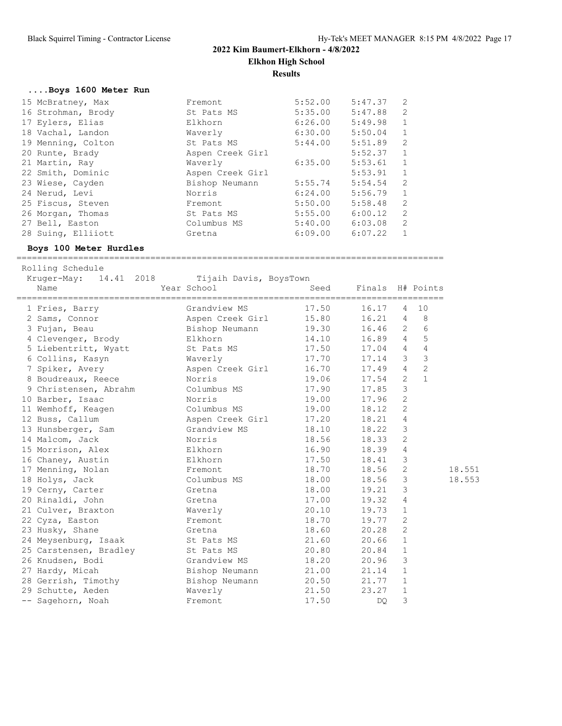# **2022 Kim Baumert-Elkhorn - 4/8/2022 Elkhon High School**

**Results**

| Boys 1600 Meter Run |                  |         |         |              |
|---------------------|------------------|---------|---------|--------------|
| 15 McBratney, Max   | Fremont          | 5:52.00 | 5:47.37 | 2            |
| 16 Strohman, Brody  | St Pats MS       | 5:35.00 | 5:47.88 | 2            |
| 17 Eylers, Elias    | Elkhorn          | 6:26.00 | 5:49.98 | $\mathbf{1}$ |
| 18 Vachal, Landon   | Waverly          | 6:30.00 | 5:50.04 | $\mathbf{1}$ |
| 19 Menning, Colton  | St Pats MS       | 5:44.00 | 5:51.89 | 2            |
| 20 Runte, Brady     | Aspen Creek Girl |         | 5:52.37 | $\mathbf{1}$ |
| 21 Martin, Ray      | Waverly          | 6:35.00 | 5:53.61 | $\mathbf{1}$ |
| 22 Smith, Dominic   | Aspen Creek Girl |         | 5:53.91 | $\mathbf{1}$ |
| 23 Wiese, Cayden    | Bishop Neumann   | 5:55.74 | 5:54.54 | 2            |
| 24 Nerud, Levi      | Norris           | 6:24.00 | 5:56.79 | $\mathbf{1}$ |
| 25 Fiscus, Steven   | Fremont          | 5:50.00 | 5:58.48 | 2            |
| 26 Morgan, Thomas   | St Pats MS       | 5:55.00 | 6:00.12 | 2            |
| 27 Bell, Easton     | Columbus MS      | 5:40.00 | 6:03.08 | 2            |
| 28 Suing, Elliiott  | Gretna           | 6:09.00 | 6:07.22 |              |

===================================================================================

### **Boys 100 Meter Hurdles**

 Rolling Schedule Kruger-May: 14.41 2018 Tijaih Davis, BoysTown<br>Name Mame Year School Mame Seed Finals H# Points Name  $Year School$  Seed Finals H# Points =================================================================================== 1 Fries, Barry Grandview MS 17.50 16.17 4 10 2 Sams, Connor Aspen Creek Girl 15.80 16.21 4 8 3 Fujan, Beau Bishop Neumann 19.30 16.46 2 6 4 Clevenger, Brody Elkhorn 14.10 16.89 4 5 5 Liebentritt, Wyatt St Pats MS 17.50 17.04 4 4 6 Collins, Kasyn Waverly 17.70 17.14 3 3 7 Spiker, Avery Aspen Creek Girl 16.70 17.49 4 2 8 Boudreaux, Reece Norris 19.06 17.54 2 1 9 Christensen, Abrahm Columbus MS 17.90 17.85 3 10 Barber, Isaac Norris 19.00 17.96 2 11 Wemhoff, Keagen Columbus MS 19.00 18.12 2 12 Buss, Callum Aspen Creek Girl 17.20 18.21 4 13 Hunsberger, Sam Grandview MS 18.10 18.22 3 14 Malcom, Jack Norris 18.56 18.33 2 15 Morrison, Alex Elkhorn 16.90 18.39 4 16 Chaney, Austin Elkhorn 17.50 18.41 3 17 Menning, Nolan Fremont 18.70 18.56 2 18.551 18 Holys, Jack Columbus MS 18.00 18.56 3 18.553 19 Cerny, Carter Gretna 18.00 19.21 3 20 Rinaldi, John Gretna 17.00 19.32 4 21 Culver, Braxton Waverly 20.10 19.73 1 22 Cyza, Easton Fremont 18.70 19.77 2 23 Husky, Shane Gretna 18.60 20.28 2 24 Meysenburg, Isaak St Pats MS 21.60 20.66 1 25 Carstensen, Bradley St Pats MS 20.80 20.84 1 26 Knudsen, Bodi Grandview MS 18.20 20.96 3 27 Hardy, Micah Bishop Neumann 21.00 21.14 1 28 Gerrish, Timothy Bishop Neumann 20.50 21.77 1 29 Schutte, Aeden Waverly 21.50 23.27 1 -- Sagehorn, Noah Fremont 17.50 DQ 3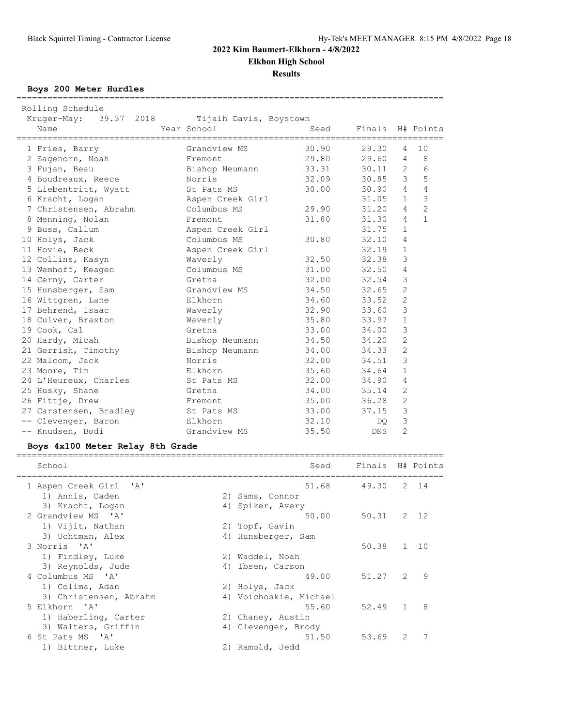**Elkhon High School**

**Results**

**Boys 200 Meter Hurdles**

===================================================================================

| Rolling Schedule       |                        |                                                |                  |                |                |
|------------------------|------------------------|------------------------------------------------|------------------|----------------|----------------|
| Kruger-May: 39.37 2018 | Tijaih Davis, Boystown |                                                |                  |                |                |
| Name                   | Year School            | Seed<br>====================================== | Finals H# Points |                |                |
| 1 Fries, Barry         | Grandview MS           | 30.90                                          | 29.30            | $\overline{4}$ | 10             |
| 2 Sagehorn, Noah       | Fremont                | 29.80                                          | 29.60            | 4              | 8              |
| 3 Fujan, Beau          | Bishop Neumann         | 33.31                                          | 30.11            | $\overline{2}$ | 6              |
| 4 Boudreaux, Reece     | Norris                 | 32.09                                          | 30.85            | 3              | 5              |
| 5 Liebentritt, Wyatt   | St Pats MS             | 30.00                                          | 30.90            | $\overline{4}$ | $\sqrt{4}$     |
| 6 Kracht, Logan        | Aspen Creek Girl       |                                                | 31.05            | $\mathbf{1}$   | 3              |
| 7 Christensen, Abrahm  | Columbus MS            | 29.90                                          | 31.20            | $\overline{4}$ | $\overline{c}$ |
| 8 Menning, Nolan       | Fremont                | 31.80                                          | 31.30            | $\overline{4}$ | $\mathbf{1}$   |
| 9 Buss, Callum         | Aspen Creek Girl       |                                                | 31.75            | $\mathbf{1}$   |                |
| 10 Holys, Jack         | Columbus MS            | 30.80                                          | 32.10            | 4              |                |
| 11 Hovie, Beck         | Aspen Creek Girl       |                                                | 32.19            | $\mathbf{1}$   |                |
| 12 Collins, Kasyn      | Waverly                | 32.50                                          | 32.38            | 3              |                |
| 13 Wemhoff, Keagen     | Columbus MS            | 31.00                                          | 32.50            | $\overline{4}$ |                |
| 14 Cerny, Carter       | Gretna                 | 32.00                                          | 32.54            | 3              |                |
| 15 Hunsberger, Sam     | Grandview MS           | 34.50                                          | 32.65            | $\mathbf{2}$   |                |
| 16 Wittgren, Lane      | Elkhorn                | 34.60                                          | 33.52            | $\overline{c}$ |                |
| 17 Behrend, Isaac      | Waverly                | 32.90                                          | 33.60            | 3              |                |
| 18 Culver, Braxton     | Waverly                | 35.80                                          | 33.97            | $\mathbf{1}$   |                |
| 19 Cook, Cal           | Gretna                 | 33.00                                          | 34.00            | 3              |                |
| 20 Hardy, Micah        | Bishop Neumann         | 34.50                                          | 34.20            | $\mathbf{2}$   |                |
| 21 Gerrish, Timothy    | Bishop Neumann         | 34.00                                          | 34.33            | $\overline{c}$ |                |
| 22 Malcom, Jack        | Norris                 | 32.00                                          | 34.51            | 3              |                |
| 23 Moore, Tim          | Elkhorn                | 35.60                                          | 34.64            | $\mathbf{1}$   |                |
| 24 L'Heureux, Charles  | St Pats MS             | 32.00                                          | 34.90            | 4              |                |
| 25 Husky, Shane        | Gretna                 | 34.00                                          | 35.14            | $\overline{2}$ |                |
| 26 Fittje, Drew        | Fremont                | 35.00                                          | 36.28            | $\mathbf{2}$   |                |
| 27 Carstensen, Bradley | St Pats MS             | 33.00                                          | 37.15            | 3              |                |
| -- Clevenger, Baron    | Elkhorn                | 32.10                                          | DQ.              | 3              |                |
| -- Knudsen, Bodi       | Grandview MS           | 35.50                                          | <b>DNS</b>       | $\overline{2}$ |                |

## **Boys 4x100 Meter Relay 8th Grade**

| School                 |    | Seed                   | Finals H# Points |               |      |
|------------------------|----|------------------------|------------------|---------------|------|
| 1 Aspen Creek Girl 'A' |    | 51.68                  | 49.30            | 2             | 14   |
| 1) Annis, Caden        |    | 2) Sams, Connor        |                  |               |      |
| 3) Kracht, Logan       |    | 4) Spiker, Avery       |                  |               |      |
| 2 Grandview MS 'A'     |    | 50.00                  | 50.31            |               | 2 12 |
| 1) Vijit, Nathan       |    | 2) Topf, Gavin         |                  |               |      |
| 3) Uchtman, Alex       |    | 4) Hunsberger, Sam     |                  |               |      |
| 3 Norris 'A'           |    |                        | 50.38            | $\mathbf{1}$  | 1 O  |
| 1) Findley, Luke       |    | 2) Waddel, Noah        |                  |               |      |
| 3) Reynolds, Jude      | 4) | Ibsen, Carson          |                  |               |      |
| 4 Columbus MS 'A'      |    | 49.00                  | 51.27            | $\mathcal{L}$ | 9    |
| 1) Colima, Adan        |    | 2) Holys, Jack         |                  |               |      |
| 3) Christensen, Abrahm |    | 4) Voichoskie, Michael |                  |               |      |
| 5 Elkhorn 'A'          |    | 55.60                  | 52.49            | $\mathbf{1}$  | 8    |
| 1) Haberling, Carter   |    | 2) Chaney, Austin      |                  |               |      |
| 3) Walters, Griffin    |    | 4) Clevenger, Brody    |                  |               |      |
| 6 St Pats MS<br>י בי   |    | 51.50                  | 53.69            | $\mathcal{L}$ | 7    |
| 1) Bittner, Luke       |    | 2) Ramold, Jedd        |                  |               |      |
|                        |    |                        |                  |               |      |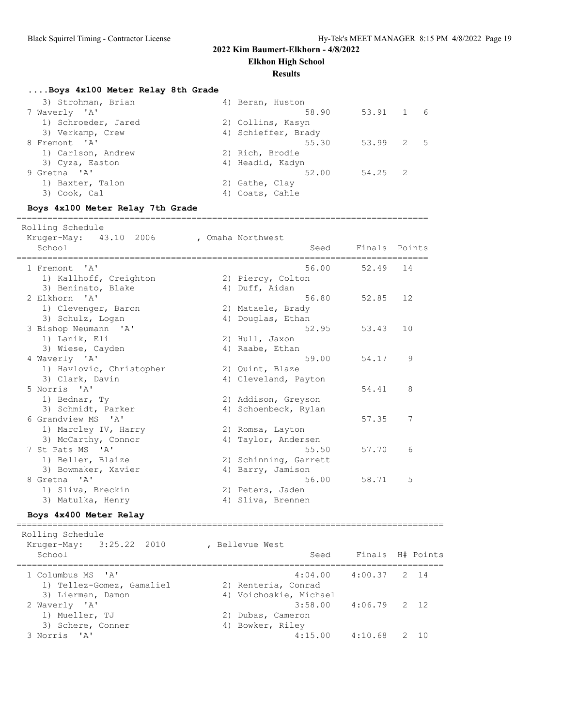**Elkhon High School**

#### **Results**

## **....Boys 4x100 Meter Relay 8th Grade**

| 3) Strohman, Brian  | 4) Beran, Huston    |         |      |
|---------------------|---------------------|---------|------|
| 7 Waverly 'A'       | 58.90               | 53.91 1 | 6    |
| 1) Schroeder, Jared | 2) Collins, Kasyn   |         |      |
| 3) Verkamp, Crew    | 4) Schieffer, Brady |         |      |
| 8 Fremont 'A'       | 55.30               | 53.99 2 | $-5$ |
| 1) Carlson, Andrew  | 2) Rich, Brodie     |         |      |
| 3) Cyza, Easton     | 4) Headid, Kadyn    |         |      |
| 9 Gretna 'A'        | 52.00               | 54.25 2 |      |
| 1) Baxter, Talon    | 2) Gathe, Clay      |         |      |
| 3) Cook, Cal        | 4) Coats, Cahle     |         |      |
|                     |                     |         |      |

### **Boys 4x100 Meter Relay 7th Grade**

Rolling Schedule

================================================================================

| VOTTTIIN OCHENNIE<br>Kruger-May: 43.10 2006<br>School |    | , Omaha Northwest<br>Seed         | Finals Points |    |
|-------------------------------------------------------|----|-----------------------------------|---------------|----|
| $\mathsf{A}$<br>1 Fremont                             |    | 56.00                             | 52.49         | 14 |
| 1) Kallhoff, Creighton                                |    | 2) Piercy, Colton                 |               |    |
| 3) Beninato, Blake                                    |    | 4) Duff, Aidan                    |               |    |
| 2 Elkhorn 'A'                                         |    | 56.80                             | 52.85         | 12 |
| 1) Clevenger, Baron                                   |    | 2) Mataele, Brady                 |               |    |
| 3) Schulz, Logan                                      |    | 4) Douglas, Ethan                 |               |    |
| 3 Bishop Neumann 'A'                                  |    | 52.95                             | 53.43         | 10 |
| 1) Lanik, Eli                                         |    | 2) Hull, Jaxon                    |               |    |
| 3) Wiese, Cayden                                      |    | 4) Raabe, Ethan                   |               |    |
| 4 Waverly 'A'                                         |    | 59.00                             | 54.17         | 9  |
| 1) Havlovic, Christopher                              |    | 2) Quint, Blaze                   |               |    |
| 3) Clark, Davin                                       |    | 4) Cleveland, Payton              |               |    |
| 5 Norris 'A'                                          |    |                                   | 54.41         | 8  |
| 1) Bednar, Ty<br>3) Schmidt, Parker                   |    | 2) Addison, Greyson               |               |    |
| 6 Grandview MS 'A'                                    |    | 4) Schoenbeck, Rylan              | 57.35         | 7  |
| 1) Marcley IV, Harry                                  |    | 2) Romsa, Layton                  |               |    |
| 3) McCarthy, Connor                                   |    | 4) Taylor, Andersen               |               |    |
| 7 St Pats MS 'A'                                      |    | 55.50                             | 57.70         | 6  |
| 1) Beller, Blaize                                     |    | 2) Schinning, Garrett             |               |    |
| 3) Bowmaker, Xavier                                   |    | 4) Barry, Jamison                 |               |    |
| 8 Gretna 'A'                                          |    | 56.00                             | 58.71         | 5  |
| 1) Sliva, Breckin                                     |    | 2) Peters, Jaden                  |               |    |
| 3) Matulka, Henry                                     | 4) | Sliva, Brennen                    |               |    |
| Boys 4x400 Meter Relay                                |    | --------------------------------- |               |    |

 Rolling Schedule Kruger-May: 3:25.22 2010 , Bellevue West School School Seed Finals H# Points =================================================================================== 1 Columbus MS 'A' 4:04.00 4:00.37 2 14 1) Tellez-Gomez, Gamaliel 2) Renteria, Conrad 3) Lierman, Damon 4) Voichoskie, Michael 2 Waverly 'A' 3:58.00 4:06.79 2 12 1) Mueller, TJ 2) Dubas, Cameron 3) Schere, Conner (4) Bowker, Riley 3 Norris 'A' 4:15.00 4:10.68 2 10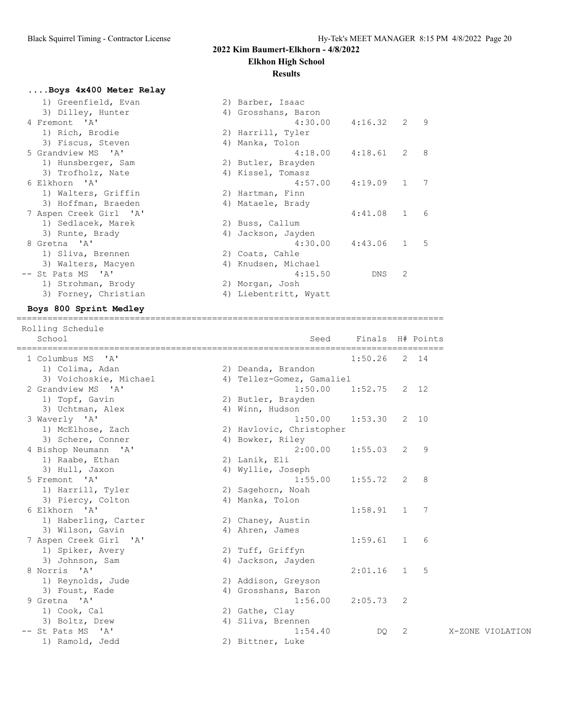## **Elkhon High School**

### **Results**

# **....Boys 4x400 Meter Relay**

| 1) Greenfield, Evan    | 2) Barber, Isaac      |         |              |   |
|------------------------|-----------------------|---------|--------------|---|
| 3) Dilley, Hunter      | 4) Grosshans, Baron   |         |              |   |
| 4 Fremont 'A'          | $4:30.00$ $4:16.32$   |         | 2            | 9 |
| 1) Rich, Brodie        | 2) Harrill, Tyler     |         |              |   |
| 3) Fiscus, Steven      | 4) Manka, Tolon       |         |              |   |
| 5 Grandview MS 'A'     | 4:18.00               | 4:18.61 | 2            | 8 |
| 1) Hunsberger, Sam     | 2) Butler, Brayden    |         |              |   |
| 3) Trofholz, Nate      | 4) Kissel, Tomasz     |         |              |   |
| 6 Elkhorn 'A'          | 4:57.00               | 4:19.09 | 1            | 7 |
| 1) Walters, Griffin    | 2) Hartman, Finn      |         |              |   |
| 3) Hoffman, Braeden    | 4) Mataele, Brady     |         |              |   |
| 7 Aspen Creek Girl 'A' |                       | 4:41.08 | $\mathbf{1}$ | 6 |
| 1) Sedlacek, Marek     | 2) Buss, Callum       |         |              |   |
| 3) Runte, Brady        | 4) Jackson, Jayden    |         |              |   |
| 8 Gretna 'A'           | 4:30.00               | 4:43.06 | $\mathbf{1}$ | 5 |
| 1) Sliva, Brennen      | 2) Coats, Cahle       |         |              |   |
| 3) Walters, Macyen     | 4) Knudsen, Michael   |         |              |   |
| -- St Pats MS 'A'      | 4:15.50               | DNS     | 2            |   |
| 1) Strohman, Brody     | 2) Morgan, Josh       |         |              |   |
| 3) Forney, Christian   | 4) Liebentritt, Wyatt |         |              |   |

#### **Boys 800 Sprint Medley** ===================================================================================

| ===============<br>==========================<br>1 Columbus MS<br>$^{\prime}$ A $^{\prime}$<br>1:50.26<br>2 14<br>1) Colima, Adan<br>2) Deanda, Brandon<br>3) Voichoskie, Michael<br>4) Tellez-Gomez, Gamaliel<br>2 Grandview MS 'A'<br>1:50.00<br>1:52.75<br>2 12<br>1) Topf, Gavin<br>2) Butler, Brayden |
|------------------------------------------------------------------------------------------------------------------------------------------------------------------------------------------------------------------------------------------------------------------------------------------------------------|
|                                                                                                                                                                                                                                                                                                            |
|                                                                                                                                                                                                                                                                                                            |
|                                                                                                                                                                                                                                                                                                            |
|                                                                                                                                                                                                                                                                                                            |
|                                                                                                                                                                                                                                                                                                            |
|                                                                                                                                                                                                                                                                                                            |
| 3) Uchtman, Alex<br>4) Winn, Hudson                                                                                                                                                                                                                                                                        |
| $2 - 10$<br>3 Waverly 'A'<br>1:50.00<br>1:53.30                                                                                                                                                                                                                                                            |
| 1) McElhose, Zach<br>2) Havlovic, Christopher                                                                                                                                                                                                                                                              |
| 3) Schere, Conner<br>4) Bowker, Riley                                                                                                                                                                                                                                                                      |
| 4 Bishop Neumann 'A'<br>2:00.00<br>1:55.03<br>2<br>9                                                                                                                                                                                                                                                       |
| 1) Raabe, Ethan<br>2) Lanik, Eli                                                                                                                                                                                                                                                                           |
| 3) Hull, Jaxon<br>4) Wyllie, Joseph                                                                                                                                                                                                                                                                        |
| 1:55.72<br>2<br>8<br>5 Fremont 'A'<br>1:55.00                                                                                                                                                                                                                                                              |
| 1) Harrill, Tyler<br>2) Sagehorn, Noah                                                                                                                                                                                                                                                                     |
| 3) Piercy, Colton<br>4) Manka, Tolon                                                                                                                                                                                                                                                                       |
| 6 Elkhorn 'A'<br>1:58.91<br>7<br>1                                                                                                                                                                                                                                                                         |
| 1) Haberling, Carter<br>2) Chaney, Austin                                                                                                                                                                                                                                                                  |
| 3) Wilson, Gavin<br>4) Ahren, James                                                                                                                                                                                                                                                                        |
| 7 Aspen Creek Girl 'A'<br>1:59.61<br>$\mathbf{1}$<br>6                                                                                                                                                                                                                                                     |
| 1) Spiker, Avery<br>2) Tuff, Griffyn                                                                                                                                                                                                                                                                       |
| 3) Johnson, Sam<br>4) Jackson, Jayden                                                                                                                                                                                                                                                                      |
| 8 Norris 'A'<br>2:01.16<br>5<br>$\mathbf{1}$                                                                                                                                                                                                                                                               |
| 1) Reynolds, Jude<br>2) Addison, Greyson                                                                                                                                                                                                                                                                   |
| 3) Foust, Kade<br>4) Grosshans, Baron                                                                                                                                                                                                                                                                      |
| 9 Gretna 'A'<br>1:56.00<br>2:05.73<br>2                                                                                                                                                                                                                                                                    |
| 1) Cook, Cal<br>2) Gathe, Clay                                                                                                                                                                                                                                                                             |
| 3) Boltz, Drew<br>4) Sliva, Brennen                                                                                                                                                                                                                                                                        |
| 2<br>-- St Pats MS 'A'<br>1:54.40<br>DQ.<br>X-ZONE VIOLATION                                                                                                                                                                                                                                               |
| 1) Ramold, Jedd<br>2) Bittner, Luke                                                                                                                                                                                                                                                                        |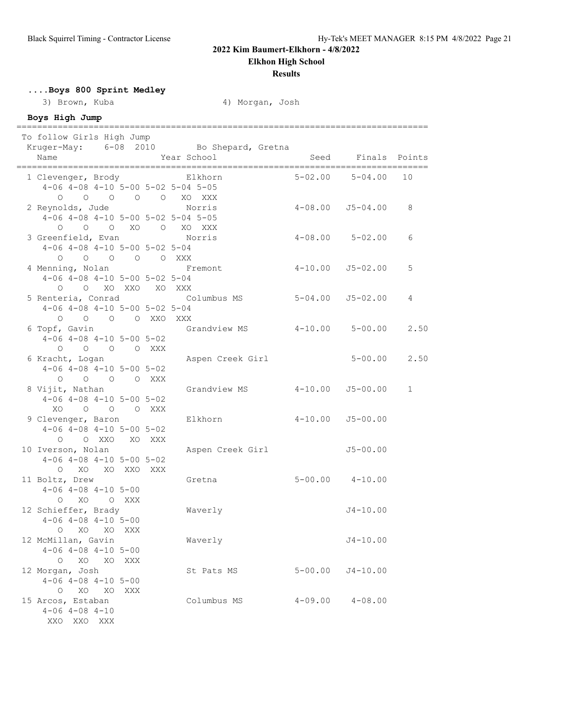**Elkhon High School**

### **Results**

**....Boys 800 Sprint Medley**

3) Brown, Kuba 4) Morgan, Josh

### **Boys High Jump**

================================================================================ To follow Girls High Jump Kruger-May: 6-08 2010 Bo Shepard, Gretna Name The Year School Communications of Seed Finals Points ================================================================================ 1 Clevenger, Brody Elkhorn 5-02.00 5-04.00 10 4-06 4-08 4-10 5-00 5-02 5-04 5-05 O O O O O XO XXX Norris 4-08.00 J5-04.00 8 4-06 4-08 4-10 5-00 5-02 5-04 5-05 O O O XO O XO XXX 3 Greenfield, Evan Norris 4-08.00 5-02.00 6 4-06 4-08 4-10 5-00 5-02 5-04 O O O O O XXX 4 Menning, Nolan **Fremont** 4-10.00 J5-02.00 5 4-06 4-08 4-10 5-00 5-02 5-04 O O XO XXO XO XXX<br>5 Renteria, Conrad Co 5 Renteria, Conrad Columbus MS 5-04.00 J5-02.00 4 4-06 4-08 4-10 5-00 5-02 5-04 O O O O XXO XXX<br>6 Topf, Gavin Grandview MS 4-10.00 5-00.00 2.50 4-06 4-08 4-10 5-00 5-02 O O O O XXX 6 Kracht, Logan Aspen Creek Girl 5-00.00 2.50 4-06 4-08 4-10 5-00 5-02 O O O O XXX 8 Vijit, Nathan Grandview MS 4-10.00 J5-00.00 1 4-06 4-08 4-10 5-00 5-02 XO O O O XXX<br>9 Clevenger, Baron Elkhorn 4-10.00 J5-00.00 4-06 4-08 4-10 5-00 5-02 O O XXO XO XXX<br>10 Iverson, Nolan Aspen Creek Girl J5-00.00 4-06 4-08 4-10 5-00 5-02 O XO XO XXO XXX<br>11 Boltz, Drew Gretna 5-00.00 4-10.00 4-06 4-08 4-10 5-00 O XO O XXX 12 Schieffer, Brady Waverly J4-10.00 4-06 4-08 4-10 5-00 O XO XO XXX 12 McMillan, Gavin Waverly J4-10.00 4-06 4-08 4-10 5-00 O XO XO XXX<br>12 Morgan, Josh St Pats MS 5-00.00 J4-10.00 4-06 4-08 4-10 5-00 O XO XO XXX 15 Arcos, Estaban Columbus MS 4-09.00 4-08.00 4-06 4-08 4-10

XXO XXO XXX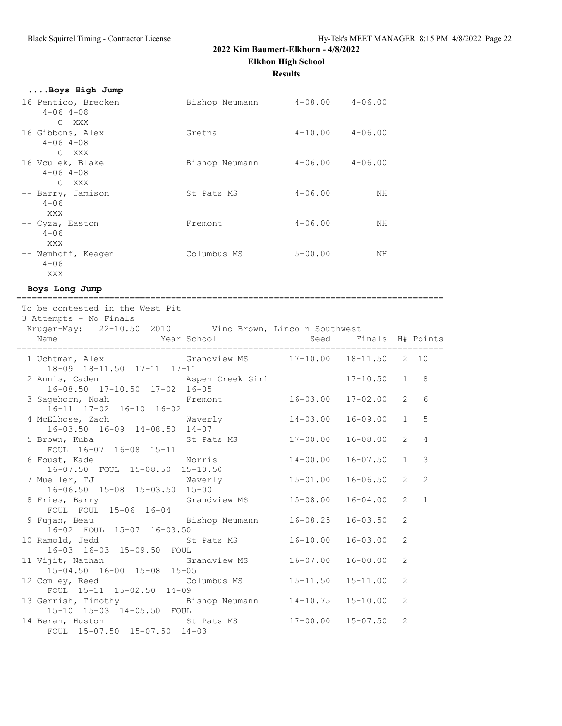**Elkhon High School**

**Results**

| Boys High Jump                |                |                     |             |
|-------------------------------|----------------|---------------------|-------------|
| 16 Pentico, Brecken           | Bishop Neumann | $4-08.00$ $4-06.00$ |             |
| $4 - 06$ $4 - 08$             |                |                     |             |
| XXX<br>$\bigcirc$             |                |                     |             |
| 16 Gibbons, Alex              | Gretna         | $4-10.00$ $4-06.00$ |             |
| $4 - 06$ $4 - 08$             |                |                     |             |
| $\circ$<br>XXX                |                |                     |             |
| 16 Vculek, Blake              | Bishop Neumann | $4 - 06.00$         | $4 - 06.00$ |
| $4 - 06$ $4 - 08$             |                |                     |             |
| XXX<br>$\Omega$               |                |                     |             |
| -- Barry, Jamison<br>$4 - 06$ | St Pats MS     | $4 - 06.00$         | NН          |
| XXX                           |                |                     |             |
| -- Cyza, Easton               | Fremont        | $4 - 06.00$         | NΗ          |
| $4 - 06$                      |                |                     |             |
| XXX                           |                |                     |             |
| -- Wemhoff, Keagen            | Columbus MS    | $5 - 00.00$         | ΝH          |
| $4 - 06$                      |                |                     |             |
| XXX                           |                |                     |             |

**Boys Long Jump**

| To be contested in the West Pit<br>3 Attempts - No Finals                         |              |                           |                |                |
|-----------------------------------------------------------------------------------|--------------|---------------------------|----------------|----------------|
| Kruger-May: 22-10.50 2010 Vino Brown, Lincoln Southwest                           |              |                           |                |                |
|                                                                                   |              |                           |                |                |
| 1 Uchtman, Alex 6randview MS 17-10.00 18-11.50 2 10<br>18-09 18-11.50 17-11 17-11 |              |                           |                |                |
|                                                                                   |              |                           |                | 8              |
| 3 Sagehorn, Noah Fremont 16-03.00 17-02.00<br>16-11 17-02 16-10 16-02             |              |                           | $\overline{2}$ | 6              |
| 4 McElhose, Zach Waverly<br>16-03.50 16-09 14-08.50 14-07                         | $14 - 03.00$ | $16 - 09.00$              | $\mathbf{1}$   | 5              |
| 5 Brown, Kuba 6 17-00.00<br>FOUL 16-07 16-08 15-11                                |              | $16 - 08.00$              | $\overline{2}$ | $\overline{4}$ |
| 6 Foust, Kade Norris<br>16-07.50 FOUL 15-08.50 15-10.50                           | $14 - 00.00$ | $16 - 07.50$              | 1              | 3              |
| 7 Mueller, TJ Waverly<br>16-06.50 15-08 15-03.50 15-00                            | $15 - 01.00$ | $16 - 06.50$              | $\overline{2}$ | $\overline{2}$ |
| 8 Fries, Barry 6randview MS 15-08.00<br>FOUL FOUL 15-06 16-04                     |              | $16 - 04.00$              | $\overline{2}$ | $\mathbf{1}$   |
| 9 Fujan, Beau and Bishop Neumann<br>16-02 FOUL 15-07 16-03.50                     | $16 - 08.25$ | $16 - 03.50$              | 2              |                |
| 10 Ramold, Jedd St Pats MS<br>16-03 16-03 15-09.50 FOUL                           | $16 - 10.00$ | $16 - 03.00$              | 2              |                |
| 11 Vijit, Nathan Grandview MS<br>15-04.50 16-00 15-08 15-05                       | $16 - 07.00$ | $16 - 00.00$              | 2              |                |
| 12 Comley, Reed Columbus MS 15-11.50<br>FOUL 15-11 15-02.50 14-09                 |              | $15 - 11.00$              | 2              |                |
| 13 Gerrish, Timothy Bishop Neumann 14-10.75<br>15-10 15-03 14-05.50 FOUL          |              | $15 - 10.00$              | 2              |                |
| 14 Beran, Huston St Pats MS<br>FOUL 15-07.50 15-07.50 14-03                       |              | $17 - 00.00$ $15 - 07.50$ | 2              |                |

===================================================================================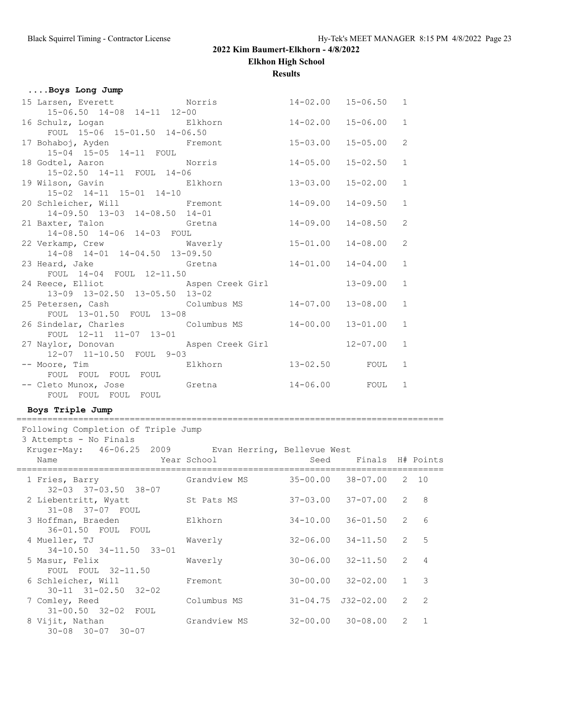**Elkhon High School**

**Results**

|  |  |  | Boys Long Jump |  |  |
|--|--|--|----------------|--|--|
|--|--|--|----------------|--|--|

| 15 Larsen, Everett Norris 14-02.00 15-06.50 1                                                                   |              |              |                |
|-----------------------------------------------------------------------------------------------------------------|--------------|--------------|----------------|
| 15-06.50 14-08 14-11 12-00                                                                                      |              |              |                |
| 16 Schulz, Logan and Elkhorn and 14-02.00                                                                       |              | 15-06.00     | $\mathbf{1}$   |
| FOUL 15-06 15-01.50 14-06.50                                                                                    |              |              |                |
| 17 Bohaboj, Ayden <b>Fremont</b> 15-03.00                                                                       |              | $15 - 05.00$ | 2              |
| 15-04 15-05 14-11 FOUL                                                                                          |              |              |                |
| 18 Godtel, Aaron Norris                                                                                         | 14-05.00     | $15 - 02.50$ | $\mathbf{1}$   |
| 15-02.50 14-11 FOUL 14-06                                                                                       |              |              |                |
| 19 Wilson, Gavin Blkhorn                                                                                        | $13 - 03.00$ | $15 - 02.00$ | <sup>1</sup>   |
| 15-02 14-11 15-01 14-10                                                                                         |              |              |                |
| 20 Schleicher, Will Fremont                                                                                     | 14-09.00     | $14 - 09.50$ | $\mathbf{1}$   |
| 14-09.50 13-03 14-08.50 14-01                                                                                   |              |              |                |
| 21 Baxter, Talon Gretna and 14-09.00                                                                            |              | 14-08.50     | 2              |
| 14-08.50 14-06 14-03 FOUL                                                                                       |              |              |                |
| 22 Verkamp, Crew Maverly 15-01.00                                                                               |              | $14 - 08.00$ | 2              |
| 14-08 14-01 14-04.50 13-09.50                                                                                   |              |              |                |
| 23 Heard, Jake Gretna 14-01.00                                                                                  |              | $14 - 04.00$ | <sup>1</sup>   |
| FOUL 14-04 FOUL 12-11.50                                                                                        |              |              |                |
| 24 Reece, Elliot and Aspen Creek Girl                                                                           |              | $13 - 09.00$ | $\mathbf{1}$   |
| 13-09 13-02.50 13-05.50 13-02                                                                                   |              |              |                |
| 25 Petersen, Cash Columbus MS 14-07.00                                                                          |              | 13-08.00     | $\overline{1}$ |
| FOUL 13-01.50 FOUL 13-08                                                                                        |              |              |                |
| 26 Sindelar, Charles Columbus MS 14-00.00                                                                       |              | $13 - 01.00$ | $\mathbf{1}$   |
| FOUL 12-11 11-07 13-01                                                                                          |              |              |                |
| 27 Naylor, Donovan Maspen Creek Girl                                                                            |              | $12 - 07.00$ | $\mathbf{1}$   |
| 12-07 11-10.50 FOUL 9-03                                                                                        |              |              |                |
| -- Moore, Times and South Moore, The Moore, The Moore, The Moore, The Moore, The Moore, The Moore, The Moore, T |              |              |                |
| FOUL FOUL FOUL FOUL                                                                                             |              |              |                |
| -- Cleto Munox, Jose 6retna 14-06.00 FOUL 1                                                                     |              |              |                |
| FOUL FOUL FOUL FOUL                                                                                             |              |              |                |

## **Boys Triple Jump**

=================================================================================== Following Completion of Triple Jump

3 Attempts - No Finals

Kruger-May: 46-06.25 2009 Evan Herring, Bellevue West

| Year School<br>Name                                    |              | Seed Finals H# Points      |   |             |
|--------------------------------------------------------|--------------|----------------------------|---|-------------|
| 1 Fries, Barry<br>$32 - 03$ $37 - 03.50$ $38 - 07$     | Grandview MS | 35-00.00 38-07.00 2 10     |   |             |
| 2 Liebentritt, Wyatt<br>31-08 37-07 FOUL               | St Pats MS   | $37-03.00$ $37-07.00$ 2 8  |   |             |
| 3 Hoffman, Braeden<br>36-01.50 FOUL FOUL               | Elkhorn      | $34 - 10.00$ $36 - 01.50$  | 2 | 6           |
| 4 Mueller, TJ<br>34-10.50 34-11.50 33-01               | Waverly      | $32-06.00$ $34-11.50$ 2 5  |   |             |
| 5 Masur, Felix<br>FOUL FOUL 32-11.50                   | Waverly      | $30 - 06.00$ $32 - 11.50$  |   | $2 \quad 4$ |
| 6 Schleicher, Will<br>$30 - 11$ $31 - 02.50$ $32 - 02$ | Fremont      | $30 - 00.00$ $32 - 02.00$  |   | $1 \quad 3$ |
| 7 Comley, Reed<br>31-00.50 32-02 FOUL                  | Columbus MS  | $31 - 04.75$ $J32 - 02.00$ |   | $2 \quad 2$ |
| 8 Vijit, Nathan<br>$30 - 08$ $30 - 07$ $30 - 07$       | Grandview MS | $32 - 00.00$ $30 - 08.00$  |   | $2 \quad 1$ |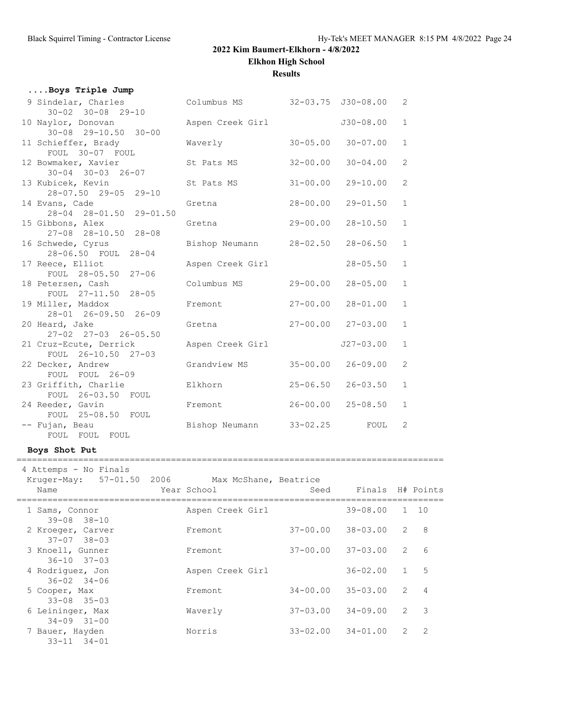**Elkhon High School**

**Results**

|                                                                                                                                                                                                                                                                                                                                                                                                                                                                                                                                                                                                                                                                                                                                                                                                                 |              |                                  | 2                                                                                                                                                                                                                                       |
|-----------------------------------------------------------------------------------------------------------------------------------------------------------------------------------------------------------------------------------------------------------------------------------------------------------------------------------------------------------------------------------------------------------------------------------------------------------------------------------------------------------------------------------------------------------------------------------------------------------------------------------------------------------------------------------------------------------------------------------------------------------------------------------------------------------------|--------------|----------------------------------|-----------------------------------------------------------------------------------------------------------------------------------------------------------------------------------------------------------------------------------------|
| Aspen Creek Girl                                                                                                                                                                                                                                                                                                                                                                                                                                                                                                                                                                                                                                                                                                                                                                                                |              | $J30 - 08.00$                    | $\mathbf{1}$                                                                                                                                                                                                                            |
| Waverly                                                                                                                                                                                                                                                                                                                                                                                                                                                                                                                                                                                                                                                                                                                                                                                                         |              | $30 - 07.00$                     | $\mathbf{1}$                                                                                                                                                                                                                            |
| St Pats MS                                                                                                                                                                                                                                                                                                                                                                                                                                                                                                                                                                                                                                                                                                                                                                                                      |              | $30 - 04.00$                     | $\overline{2}$                                                                                                                                                                                                                          |
| St Pats MS                                                                                                                                                                                                                                                                                                                                                                                                                                                                                                                                                                                                                                                                                                                                                                                                      | $31 - 00.00$ | $29 - 10.00$                     | $\overline{2}$                                                                                                                                                                                                                          |
| Gretna                                                                                                                                                                                                                                                                                                                                                                                                                                                                                                                                                                                                                                                                                                                                                                                                          |              | $29 - 01.50$                     | $\mathbf{1}$                                                                                                                                                                                                                            |
| Gretna                                                                                                                                                                                                                                                                                                                                                                                                                                                                                                                                                                                                                                                                                                                                                                                                          |              | $28 - 10.50$                     | $\mathbf{1}$                                                                                                                                                                                                                            |
|                                                                                                                                                                                                                                                                                                                                                                                                                                                                                                                                                                                                                                                                                                                                                                                                                 |              | $28 - 06.50$                     | $\mathbf{1}$                                                                                                                                                                                                                            |
| Aspen Creek Girl                                                                                                                                                                                                                                                                                                                                                                                                                                                                                                                                                                                                                                                                                                                                                                                                |              | $28 - 05.50$                     | $\mathbf{1}$                                                                                                                                                                                                                            |
| Columbus MS                                                                                                                                                                                                                                                                                                                                                                                                                                                                                                                                                                                                                                                                                                                                                                                                     |              | $28 - 05.00$                     | $\mathbf{1}$                                                                                                                                                                                                                            |
| Fremont                                                                                                                                                                                                                                                                                                                                                                                                                                                                                                                                                                                                                                                                                                                                                                                                         |              | $28 - 01.00$                     | $\mathbf{1}$                                                                                                                                                                                                                            |
| Gretna                                                                                                                                                                                                                                                                                                                                                                                                                                                                                                                                                                                                                                                                                                                                                                                                          |              |                                  | $\mathbf{1}$                                                                                                                                                                                                                            |
| Aspen Creek Girl                                                                                                                                                                                                                                                                                                                                                                                                                                                                                                                                                                                                                                                                                                                                                                                                |              | $J27 - 03.00$                    | $\mathbf{1}$                                                                                                                                                                                                                            |
| Grandview MS                                                                                                                                                                                                                                                                                                                                                                                                                                                                                                                                                                                                                                                                                                                                                                                                    |              | $26 - 09.00$                     | $\overline{2}$                                                                                                                                                                                                                          |
| Elkhorn                                                                                                                                                                                                                                                                                                                                                                                                                                                                                                                                                                                                                                                                                                                                                                                                         |              | $26 - 03.50$                     | $\mathbf{1}$                                                                                                                                                                                                                            |
| Fremont                                                                                                                                                                                                                                                                                                                                                                                                                                                                                                                                                                                                                                                                                                                                                                                                         |              | $25 - 08.50$                     | $\mathbf{1}$                                                                                                                                                                                                                            |
|                                                                                                                                                                                                                                                                                                                                                                                                                                                                                                                                                                                                                                                                                                                                                                                                                 |              | FOUL                             | 2                                                                                                                                                                                                                                       |
| Boys Triple Jump<br>9 Sindelar, Charles<br>$30 - 02$ $30 - 08$ 29-10<br>10 Naylor, Donovan<br>$30-08$ $29-10.50$ $30-00$<br>11 Schieffer, Brady<br>FOUL 30-07 FOUL<br>12 Bowmaker, Xavier<br>$30 - 04$ $30 - 03$ $26 - 07$<br>13 Kubicek, Kevin<br>28-07.50 29-05 29-10<br>14 Evans, Cade<br>28-04 28-01.50 29-01.50<br>15 Gibbons, Alex<br>27-08 28-10.50 28-08<br>16 Schwede, Cyrus<br>28-06.50 FOUL 28-04<br>17 Reece, Elliot<br>FOUL 28-05.50 27-06<br>18 Petersen, Cash<br>FOUL 27-11.50 28-05<br>19 Miller, Maddox<br>28-01 26-09.50 26-09<br>20 Heard, Jake<br>27-02 27-03 26-05.50<br>21 Cruz-Ecute, Derrick<br>FOUL 26-10.50 27-03<br>22 Decker, Andrew<br>FOUL FOUL 26-09<br>23 Griffith, Charlie<br>FOUL 26-03.50 FOUL<br>24 Reeder, Gavin<br>FOUL 25-08.50 FOUL<br>-- Fujan, Beau<br>FOUL FOUL FOUL |              | Bishop Neumann<br>Bishop Neumann | Columbus MS 32-03.75 J30-08.00<br>$30 - 05.00$<br>$32 - 00.00$<br>$28 - 00.00$<br>29-00.00<br>$28 - 02.50$<br>$29 - 00.00$<br>$27 - 00.00$<br>$27 - 00.00$ $27 - 03.00$<br>$35 - 00.00$<br>$25 - 06.50$<br>$26 - 00.00$<br>$33 - 02.25$ |

#### **Boys Shot Put**

 4 Attemps - No Finals Kruger-May: 57-01.50 2006 Max McShane, Beatrice Name Year School Seed Finals H# Points =================================================================================== 1 Sams, Connor Aspen Creek Girl 39-08.00 1 10 39-08 38-10 2 Kroeger, Carver Fremont 37-00.00 38-03.00 2 8 37-07 38-03<br>3 Knoell, Gunner Fremont 37-00.00 37-03.00 2 6 36-10 37-03 4 Rodriguez, Jon 36-02 34-06<br>
36-02 34-06<br>
5 Cooper, Max Fremont 34-00.00 35-03.00 2 4 36-02 34-06 5 Cooper, Max Fremont 34-00.00 35-03.00 2 4 33-08 35-03 6 Leininger, Max Waverly 37-03.00 34-09.00 2 3 34-09 31-00 7 Bauer, Hayden Norris 33-02.00 34-01.00 2 2 33-11 34-01

===================================================================================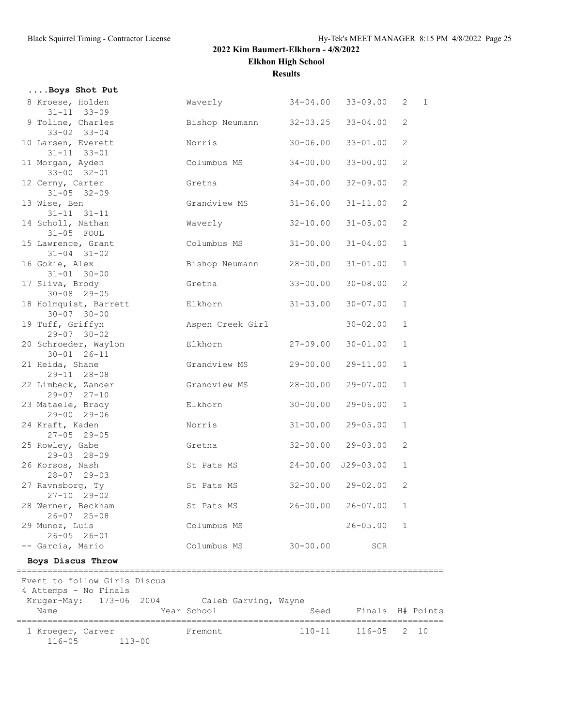**....Boys Shot Put**

# **2022 Kim Baumert-Elkhorn - 4/8/2022**

**Elkhon High School**

**Results**

| 8 Kroese, Holden<br>$31 - 11$ $33 - 09$                                                                                                                          | Waverly 34-04.00 33-09.00 |                           |                             | $\mathbf{2}$ | $\overline{1}$ |
|------------------------------------------------------------------------------------------------------------------------------------------------------------------|---------------------------|---------------------------|-----------------------------|--------------|----------------|
| 9 Toline, Charles<br>$33-02$ 33-04<br>$33-04$<br>Bishop Neumann<br>$32-03.25$<br>$33 - 02$ $33 - 04$                                                             |                           |                           | $33 - 04.00$                | 2            |                |
| 10 Larsen, Everett Norris<br>$31 - 11$ $33 - 01$                                                                                                                 |                           | $30 - 06.00$              | $33 - 01.00$                | $\mathbf{2}$ |                |
| 11 Morgan, Ayden<br>33-00 32-01<br>33-00 32-01<br>33-00 32-01                                                                                                    |                           |                           | $33 - 00.00$                | 2            |                |
| 12 Cerny, Carter<br>$31 - 05$ $32 - 09$                                                                                                                          | Gretna                    | $34 - 00.00$              | $32 - 09.00$                | $\mathbf{2}$ |                |
| 13 Wise, Ben<br>$31 - 11$ $31 - 11$                                                                                                                              | Grandview MS 31-06.00     |                           | $31 - 11.00$                | $\mathbf{2}$ |                |
| 14 Scholl, Nathan<br>$31-05$ FOUL                                                                                                                                | Waverly 32-10.00          |                           | $31 - 05.00$                | 2            |                |
| 15 Lawrence, Grant<br>$31 - 04$ $31 - 02$                                                                                                                        | Columbus MS 31-00.00      |                           | $31 - 04.00$                | $\mathbf{1}$ |                |
| 16 Gokie, Alex Bishop Neumann 28-00.00<br>$31 - 01$ $30 - 00$                                                                                                    |                           |                           | $31 - 01.00$                | $\mathbf{1}$ |                |
| 17 Sliva, Brody<br>$30 - 08$ 29-05                                                                                                                               | Gretna                    | $33 - 00.00$              | $30 - 08.00$                | 2            |                |
| 18 Holmquist, Barrett Elkhorn<br>$30 - 07$ $30 - 00$                                                                                                             |                           | $31 - 03.00$              | $30 - 07.00$                | $\mathbf{1}$ |                |
| 19 Tuff, Griffyn<br>$29 - 07$ 30-02                                                                                                                              | Aspen Creek Girl          |                           | $30 - 02.00$                | $\mathbf{1}$ |                |
| 20 Schroeder, Waylon Blkhorn 27-09.00<br>$30 - 01$ $26 - 11$                                                                                                     |                           |                           | $30 - 01.00$                | $\mathbf{1}$ |                |
| $29 - 11$ $28 - 08$                                                                                                                                              |                           | 29-00.00                  | $29 - 11.00$                | $\mathbf{1}$ |                |
| 22 Limbeck, Zander Grandview MS<br>$29 - 07$ $27 - 10$                                                                                                           |                           | 28-00.00                  | $29 - 07.00$                | $\mathbf{1}$ |                |
| 23 Mataele, Brady Blkhorn<br>$29 - 00$ $29 - 06$                                                                                                                 |                           | $30 - 00.00$              | $29 - 06.00$                | $\mathbf{1}$ |                |
| raft, Kaden<br>27-05 29-05<br>24 Kraft, Kaden                                                                                                                    |                           | $31 - 00.00$              | $29 - 05.00$                | $\mathbf{1}$ |                |
| 25 Rowley, Gabe                                                                                                                                                  | Gretna 32-00.00 29-03.00  |                           |                             | $\mathbf{2}$ |                |
| 26 Korsos, Nash<br>$28-07$ 29-03<br>$32-07$ $71$<br>$71$<br>$72$<br>$71$<br>$72$<br>$73$<br>$74$<br>$75$<br>$76$<br>$78$<br>$78$<br>$78$<br>$78$<br>$78$<br>$78$ |                           |                           |                             | $\mathbf{1}$ |                |
| 27 Ravnsborg, Ty<br>$27 - 10$ $29 - 02$                                                                                                                          |                           | $32 - 00.00$ $29 - 02.00$ |                             | $\mathbf{2}$ |                |
| 28 Werner, Beckham<br>$26 - 07$ $25 - 08$                                                                                                                        | St Pats MS                |                           | $26 - 00.00$ $26 - 07.00$ 1 |              |                |
| 29 Munoz, Luis<br>$26 - 05$ $26 - 01$                                                                                                                            | Columbus MS               |                           | $26 - 05.00$                | $\mathbf{1}$ |                |
| -- Garcia, Mario<br>Boys Discus Throw                                                                                                                            | Columbus MS               | $30 - 00.00$              | <b>SCR</b>                  |              |                |
|                                                                                                                                                                  |                           |                           |                             |              |                |
| Event to follow Girls Discus<br>4 Attemps - No Finals<br>Kruger-May: 173-06 2004 Caleb Garving, Wayne<br>Name                                                    | Year School               | Seed                      | Finals H# Points            |              |                |
|                                                                                                                                                                  |                           |                           |                             |              |                |
| 1 Kroeger, Carver<br>$116 - 05$<br>$113 - 00$                                                                                                                    | Fremont                   | $110 - 11$                | 116-05                      |              | $2 \t10$       |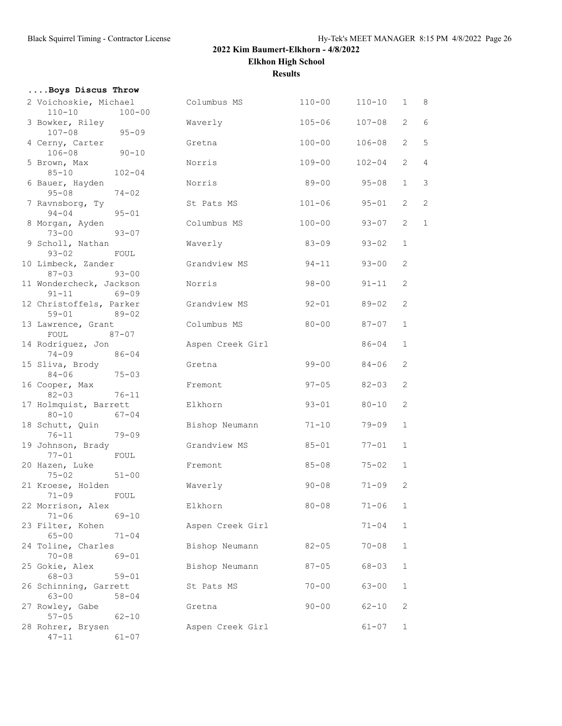# **2022 Kim Baumert-Elkhorn - 4/8/2022 Elkhon High School Results**

| Boys Discus Throw<br>2 Voichoskie, Michael<br>$110 - 10$<br>$100 - 00$<br>3 Bowker, Riley | Columbus MS                                                                                                                                                                                                                                                                                                                                                                                                                                                                                                                                                                                                                                                                                                                                                                                                                                                                                                                                                                                                                                                                                                    | $110 - 00$ | $110 - 10$ | $1 \quad$                       |                |
|-------------------------------------------------------------------------------------------|----------------------------------------------------------------------------------------------------------------------------------------------------------------------------------------------------------------------------------------------------------------------------------------------------------------------------------------------------------------------------------------------------------------------------------------------------------------------------------------------------------------------------------------------------------------------------------------------------------------------------------------------------------------------------------------------------------------------------------------------------------------------------------------------------------------------------------------------------------------------------------------------------------------------------------------------------------------------------------------------------------------------------------------------------------------------------------------------------------------|------------|------------|---------------------------------|----------------|
|                                                                                           |                                                                                                                                                                                                                                                                                                                                                                                                                                                                                                                                                                                                                                                                                                                                                                                                                                                                                                                                                                                                                                                                                                                |            |            |                                 | 8              |
|                                                                                           | Waverly                                                                                                                                                                                                                                                                                                                                                                                                                                                                                                                                                                                                                                                                                                                                                                                                                                                                                                                                                                                                                                                                                                        | $105 - 06$ | $107 - 08$ | $\overline{2}$                  | 6              |
|                                                                                           | Gretna                                                                                                                                                                                                                                                                                                                                                                                                                                                                                                                                                                                                                                                                                                                                                                                                                                                                                                                                                                                                                                                                                                         | $100 - 00$ | $106 - 08$ | $\overline{2}$                  | 5              |
|                                                                                           | Norris                                                                                                                                                                                                                                                                                                                                                                                                                                                                                                                                                                                                                                                                                                                                                                                                                                                                                                                                                                                                                                                                                                         | $109 - 00$ | $102 - 04$ | $\overline{2}$                  | 4              |
|                                                                                           | Norris                                                                                                                                                                                                                                                                                                                                                                                                                                                                                                                                                                                                                                                                                                                                                                                                                                                                                                                                                                                                                                                                                                         | $89 - 00$  | $95 - 08$  | $\mathbf{1}$                    | 3              |
|                                                                                           | St Pats MS                                                                                                                                                                                                                                                                                                                                                                                                                                                                                                                                                                                                                                                                                                                                                                                                                                                                                                                                                                                                                                                                                                     | $101 - 06$ | $95 - 01$  | $\overline{2}$                  | $\overline{c}$ |
|                                                                                           | Columbus MS                                                                                                                                                                                                                                                                                                                                                                                                                                                                                                                                                                                                                                                                                                                                                                                                                                                                                                                                                                                                                                                                                                    | $100 - 00$ | $93 - 07$  | $\overline{2}$                  | $\mathbf{1}$   |
|                                                                                           | Waverly                                                                                                                                                                                                                                                                                                                                                                                                                                                                                                                                                                                                                                                                                                                                                                                                                                                                                                                                                                                                                                                                                                        | $83 - 09$  | $93 - 02$  | $\mathbf{1}$                    |                |
|                                                                                           | Grandview MS                                                                                                                                                                                                                                                                                                                                                                                                                                                                                                                                                                                                                                                                                                                                                                                                                                                                                                                                                                                                                                                                                                   |            | $93 - 00$  | 2                               |                |
|                                                                                           | Norris                                                                                                                                                                                                                                                                                                                                                                                                                                                                                                                                                                                                                                                                                                                                                                                                                                                                                                                                                                                                                                                                                                         | $98 - 00$  | $91 - 11$  | $\overline{2}$                  |                |
|                                                                                           | Grandview MS                                                                                                                                                                                                                                                                                                                                                                                                                                                                                                                                                                                                                                                                                                                                                                                                                                                                                                                                                                                                                                                                                                   |            | $89 - 02$  | 2                               |                |
|                                                                                           | Columbus MS                                                                                                                                                                                                                                                                                                                                                                                                                                                                                                                                                                                                                                                                                                                                                                                                                                                                                                                                                                                                                                                                                                    | $80 - 00$  | 87-07      | $\mathbf{1}$                    |                |
|                                                                                           | Aspen Creek Girl                                                                                                                                                                                                                                                                                                                                                                                                                                                                                                                                                                                                                                                                                                                                                                                                                                                                                                                                                                                                                                                                                               |            | $86 - 04$  | $\mathbf{1}$                    |                |
|                                                                                           | Gretna                                                                                                                                                                                                                                                                                                                                                                                                                                                                                                                                                                                                                                                                                                                                                                                                                                                                                                                                                                                                                                                                                                         |            | 84-06      | 2                               |                |
|                                                                                           | Fremont                                                                                                                                                                                                                                                                                                                                                                                                                                                                                                                                                                                                                                                                                                                                                                                                                                                                                                                                                                                                                                                                                                        | $97 - 05$  | $82 - 03$  | 2                               |                |
|                                                                                           | Elkhorn                                                                                                                                                                                                                                                                                                                                                                                                                                                                                                                                                                                                                                                                                                                                                                                                                                                                                                                                                                                                                                                                                                        | $93 - 01$  | $80 - 10$  | 2                               |                |
| $76 - 11$                                                                                 | Bishop Neumann                                                                                                                                                                                                                                                                                                                                                                                                                                                                                                                                                                                                                                                                                                                                                                                                                                                                                                                                                                                                                                                                                                 | $71 - 10$  | 79-09      | $\mathbf{1}$                    |                |
|                                                                                           | Grandview MS                                                                                                                                                                                                                                                                                                                                                                                                                                                                                                                                                                                                                                                                                                                                                                                                                                                                                                                                                                                                                                                                                                   | 85-01      | $77 - 01$  | $\mathbf{1}$                    |                |
|                                                                                           | Fremont                                                                                                                                                                                                                                                                                                                                                                                                                                                                                                                                                                                                                                                                                                                                                                                                                                                                                                                                                                                                                                                                                                        | $85 - 08$  | $75 - 02$  | $\mathbf{1}$                    |                |
|                                                                                           | Waverly                                                                                                                                                                                                                                                                                                                                                                                                                                                                                                                                                                                                                                                                                                                                                                                                                                                                                                                                                                                                                                                                                                        | $90 - 08$  | $71 - 09$  | $\overline{2}$                  |                |
|                                                                                           | Elkhorn                                                                                                                                                                                                                                                                                                                                                                                                                                                                                                                                                                                                                                                                                                                                                                                                                                                                                                                                                                                                                                                                                                        | $80 - 08$  | $71 - 06$  | $\mathbf{1}$                    |                |
|                                                                                           | Aspen Creek Girl                                                                                                                                                                                                                                                                                                                                                                                                                                                                                                                                                                                                                                                                                                                                                                                                                                                                                                                                                                                                                                                                                               |            | $71 - 04$  | $\mathbf{1}$                    |                |
|                                                                                           | Bishop Neumann                                                                                                                                                                                                                                                                                                                                                                                                                                                                                                                                                                                                                                                                                                                                                                                                                                                                                                                                                                                                                                                                                                 | $82 - 05$  | $70 - 08$  | $\mathbf{1}$                    |                |
|                                                                                           | Bishop Neumann                                                                                                                                                                                                                                                                                                                                                                                                                                                                                                                                                                                                                                                                                                                                                                                                                                                                                                                                                                                                                                                                                                 | $87 - 05$  | $68 - 03$  | $\mathbf{1}$                    |                |
| $63 - 00$<br>$58 - 04$                                                                    | St Pats MS                                                                                                                                                                                                                                                                                                                                                                                                                                                                                                                                                                                                                                                                                                                                                                                                                                                                                                                                                                                                                                                                                                     | $70 - 00$  | $63 - 00$  | $\mathbf{1}$                    |                |
| $57 - 05$<br>$62 - 10$                                                                    | Gretna                                                                                                                                                                                                                                                                                                                                                                                                                                                                                                                                                                                                                                                                                                                                                                                                                                                                                                                                                                                                                                                                                                         | $90 - 00$  | $62 - 10$  | 2                               |                |
| $61 - 07$<br>$47 - 11$                                                                    | Aspen Creek Girl                                                                                                                                                                                                                                                                                                                                                                                                                                                                                                                                                                                                                                                                                                                                                                                                                                                                                                                                                                                                                                                                                               |            | $61 - 07$  | $\mathbf{1}$                    |                |
|                                                                                           | $107 - 08$<br>$95 - 09$<br>4 Cerny, Carter<br>$106 - 08$<br>$90 - 10$<br>5 Brown, Max<br>$85 - 10$<br>$102 - 04$<br>6 Bauer, Hayden<br>$95 - 08$<br>$74 - 02$<br>7 Ravnsborg, Ty<br>$94 - 04$<br>$95 - 01$<br>8 Morgan, Ayden<br>$73 - 00$<br>$93 - 07$<br>9 Scholl, Nathan<br>$93 - 02$<br>FOUL<br>10 Limbeck, Zander<br>$87 - 03$<br>$93 - 00$<br>11 Wondercheck, Jackson<br>$91 - 11$<br>$69 - 09$<br>12 Christoffels, Parker<br>$59 - 01$<br>$89 - 02$<br>13 Lawrence, Grant<br>FOUL<br>$87 - 07$<br>14 Rodriguez, Jon<br>$74 - 09$<br>86-04<br>15 Sliva, Brody<br>$84 - 06$<br>75-03<br>16 Cooper, Max<br>$82 - 03$<br>$76 - 11$<br>17 Holmquist, Barrett<br>$80 - 10$<br>$67 - 04$<br>18 Schutt, Quin<br>$79 - 09$<br>19 Johnson, Brady<br>$77 - 01$<br>FOUL<br>20 Hazen, Luke<br>$75 - 02$<br>$51 - 00$<br>21 Kroese, Holden<br>$71 - 09$<br>FOUL<br>22 Morrison, Alex<br>$71 - 06$<br>$69 - 10$<br>23 Filter, Kohen<br>$65 - 00$<br>$71 - 04$<br>24 Toline, Charles<br>$70 - 08$<br>69-01<br>25 Gokie, Alex<br>$68 - 03$<br>$59 - 01$<br>26 Schinning, Garrett<br>27 Rowley, Gabe<br>28 Rohrer, Brysen |            |            | 94-11<br>$92 - 01$<br>$99 - 00$ |                |